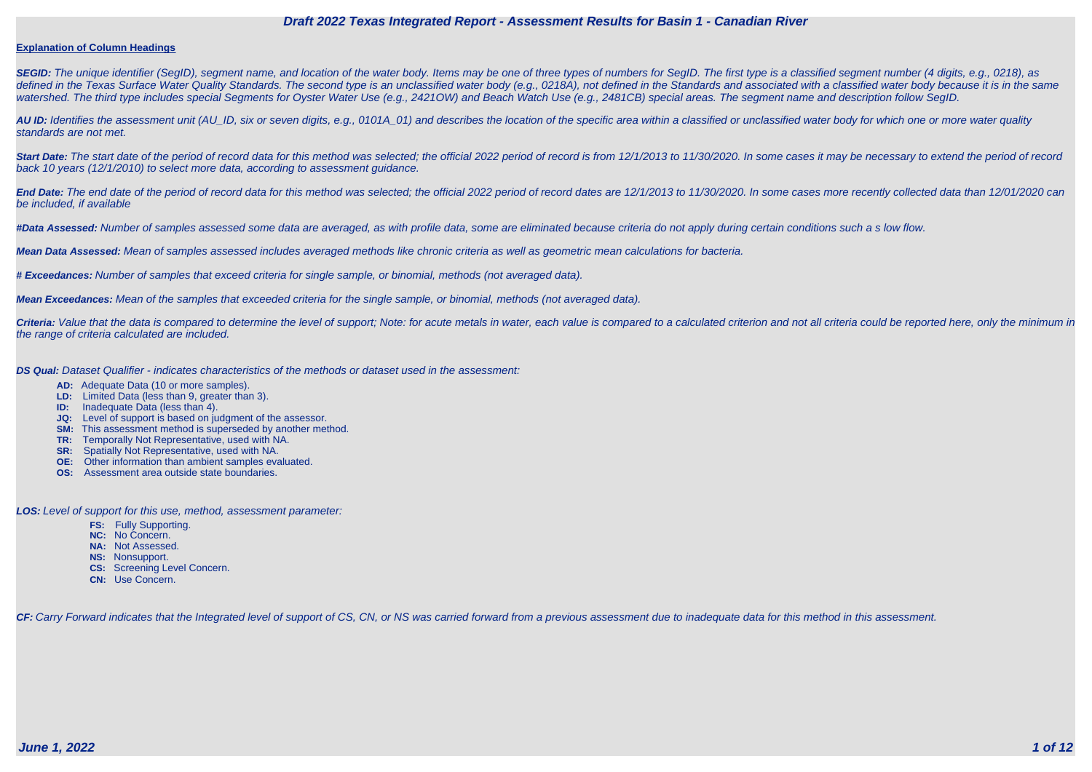#### **Explanation of Column Headings**

**SEGID:** The unique identifier (SegID), segment name, and location of the water body. Items may be one of three types of numbers for SegID. The first type is a classified segment number (4 digits, e.g., 0218), as defined in the Texas Surface Water Quality Standards. The second type is an unclassified water body (e.g., 0218A), not defined in the Standards and associated with a classified water body because it is in the same watershed. The third type includes special Segments for Oyster Water Use (e.g., 2421OW) and Beach Watch Use (e.g., 2481CB) special areas. The segment name and description follow SegID.

**AU ID:** Identifies the assessment unit (AU\_ID, six or seven digits, e.g., 0101A\_01) and describes the location of the specific area within a classified or unclassified water body for which one or more water quality standards are not met.

Start Date: The start date of the period of record data for this method was selected; the official 2022 period of record is from 12/1/2013 to 11/30/2020. In some cases it may be necessary to extend the period of record back 10 years (12/1/2010) to select more data, according to assessment guidance.

End Date: The end date of the period of record data for this method was selected; the official 2022 period of record dates are 12/1/2013 to 11/30/2020. In some cases more recently collected data than 12/01/2020 can be included, if available

Criteria: Value that the data is compared to determine the level of support; Note: for acute metals in water, each value is compared to a calculated criterion and not all criteria could be reported here, only the minimum i the range of criteria calculated are included.

**#Data Assessed:** Number of samples assessed some data are averaged, as with profile data, some are eliminated because criteria do not apply during certain conditions such a s low flow.

**Mean Data Assessed:** Mean of samples assessed includes averaged methods like chronic criteria as well as geometric mean calculations for bacteria.

**# Exceedances:** Number of samples that exceed criteria for single sample, or binomial, methods (not averaged data).

**Mean Exceedances:** Mean of the samples that exceeded criteria for the single sample, or binomial, methods (not averaged data).

**DS Qual:** Dataset Qualifier - indicates characteristics of the methods or dataset used in the assessment:

- **AD:** Adequate Data (10 or more samples).
- **LD:** Limited Data (less than 9, greater than 3).
- **ID:** Inadequate Data (less than 4).
- **JQ:** Level of support is based on judgment of the assessor.
- **SM:** This assessment method is superseded by another method.
- **TR:** Temporally Not Representative, used with NA.
- **SR:** Spatially Not Representative, used with NA.
- **OE:** Other information than ambient samples evaluated.
- **OS:** Assessment area outside state boundaries.

**LOS:** Level of support for this use, method, assessment parameter:

- **FS:** Fully Supporting.
- **NC:** No Concern.
- **NA:** Not Assessed.
- **NS:** Nonsupport.
- **CS:** Screening Level Concern.
- **CN:** Use Concern.

CF: Carry Forward indicates that the Integrated level of support of CS, CN, or NS was carried forward from a previous assessment due to inadequate data for this method in this assessment.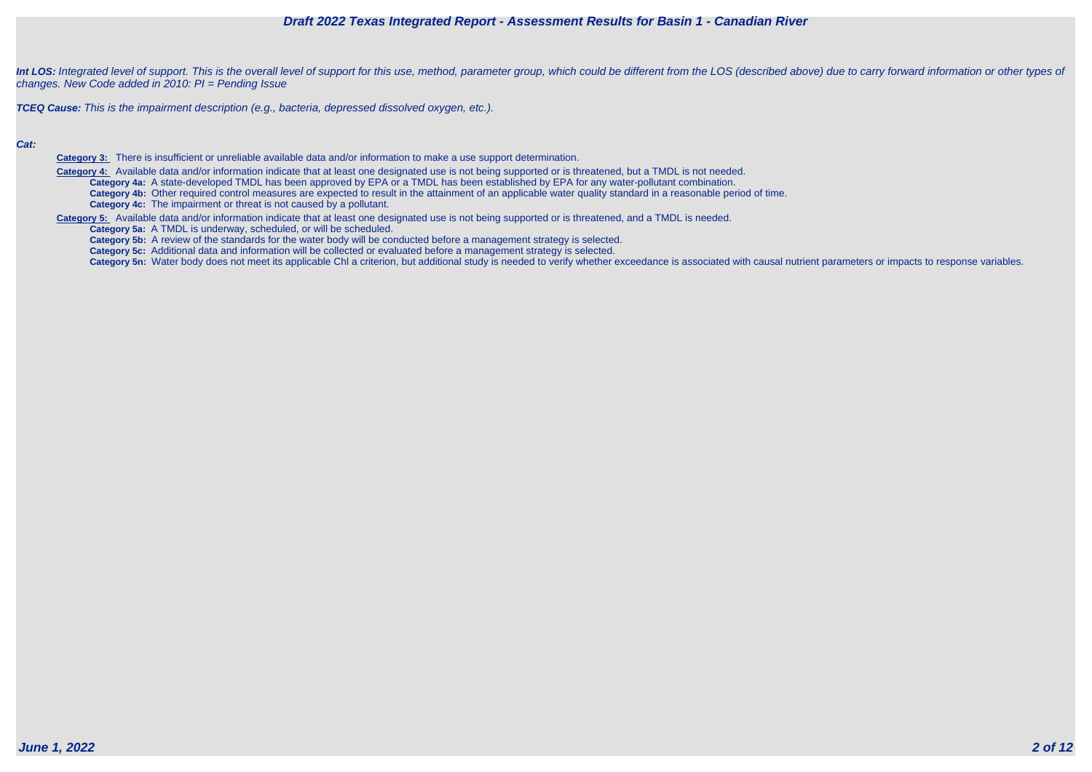

Int LOS: Integrated level of support. This is the overall level of support for this use, method, parameter group, which could be different from the LOS (described above) due to carry forward information or other types of changes. New Code added in 2010: PI = Pending Issue

**TCEQ Cause:** This is the impairment description (e.g., bacteria, depressed dissolved oxygen, etc.).

#### **Cat:**

**Category 3:** There is insufficient or unreliable available data and/or information to make a use support determination.

 **Category 4:** Available data and/or information indicate that at least one designated use is not being supported or is threatened, but a TMDL is not needed. **Category 4a:** A state-developed TMDL has been approved by EPA or a TMDL has been established by EPA for any water-pollutant combination. **Category 4b:** Other required control measures are expected to result in the attainment of an applicable water quality standard in a reasonable period of time. **Category 4c:** The impairment or threat is not caused by a pollutant.

**Category 5:** Available data and/or information indicate that at least one designated use is not being supported or is threatened, and a TMDL is needed.

**Category 5a:** A TMDL is underway, scheduled, or will be scheduled.

**Category 5b:** A review of the standards for the water body will be conducted before a management strategy is selected.

**Category 5c:** Additional data and information will be collected or evaluated before a management strategy is selected.

Category 5n: Water body does not meet its applicable Chl a criterion, but additional study is needed to verify whether exceedance is associated with causal nutrient parameters or impacts to response variables.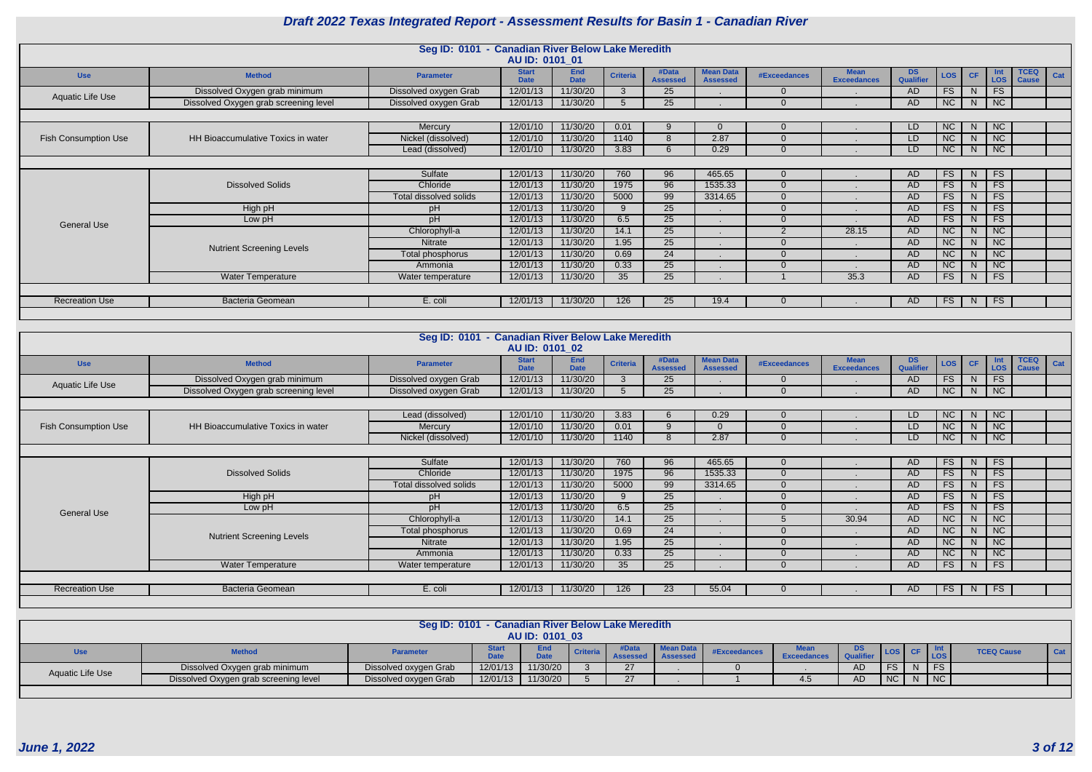|                             |                                           | Seg ID: 0101 - Canadian River Below Lake Meredith | AU ID: 0101_01              |                           |                 |                          |                                     |                |                                   |                 |                  |              |                           |                             |     |
|-----------------------------|-------------------------------------------|---------------------------------------------------|-----------------------------|---------------------------|-----------------|--------------------------|-------------------------------------|----------------|-----------------------------------|-----------------|------------------|--------------|---------------------------|-----------------------------|-----|
| <b>Use</b>                  | <b>Method</b>                             | <b>Parameter</b>                                  | <b>Start</b><br><b>Date</b> | <b>End</b><br><b>Date</b> | <b>Criteria</b> | #Data<br><b>Assessed</b> | <b>Mean Data</b><br><b>Assessed</b> | #Exceedances   | <b>Mean</b><br><b>Exceedances</b> | DS<br>Qualifier | LOS <sup>1</sup> | CF           | - Int<br>LOS <sup>1</sup> | <b>TCEQ</b><br><b>Cause</b> | Cat |
| Aquatic Life Use            | Dissolved Oxygen grab minimum             | Dissolved oxygen Grab                             | 12/01/13                    | 11/30/20                  |                 | 25                       |                                     | $\overline{0}$ |                                   | <b>AD</b>       | FS               | <sup>N</sup> | <b>FS</b>                 |                             |     |
|                             | Dissolved Oxygen grab screening level     | Dissolved oxygen Grab                             | 12/01/13                    | 11/30/20                  |                 | 25                       |                                     | $\overline{0}$ |                                   | <b>AD</b>       | <b>NC</b>        | N            | <b>NC</b>                 |                             |     |
|                             |                                           |                                                   |                             |                           |                 |                          |                                     |                |                                   |                 |                  |              |                           |                             |     |
|                             |                                           | Mercury                                           | 12/01/10                    | 11/30/20                  | 0.01            | -9                       |                                     | $\overline{0}$ |                                   | LD              | NC               | N            | NC                        |                             |     |
| <b>Fish Consumption Use</b> | <b>HH Bioaccumulative Toxics in water</b> | Nickel (dissolved)                                | 12/01/10                    | 11/30/20                  | 1140            | 8                        | 2.87                                | $\overline{0}$ |                                   | LD              | NC               | N            | NC                        |                             |     |
|                             |                                           | Lead (dissolved)                                  | 12/01/10                    | 11/30/20                  | 3.83            | 6                        | 0.29                                | $\Omega$       |                                   | LD.             | NC               | N            | <b>NC</b>                 |                             |     |
|                             |                                           |                                                   |                             |                           |                 |                          |                                     |                |                                   |                 |                  |              |                           |                             |     |
|                             |                                           | Sulfate                                           | 12/01/13                    | 11/30/20                  | 760             | 96                       | 465.65                              | $\mathbf{0}$   |                                   | <b>AD</b>       | FS               | N            | FS                        |                             |     |
|                             | <b>Dissolved Solids</b>                   | Chloride                                          | 12/01/13                    | 11/30/20                  | 1975            | 96                       | 1535.33                             | $\overline{0}$ |                                   | <b>AD</b>       | FS               | N            | <b>FS</b>                 |                             |     |
|                             |                                           | Total dissolved solids                            | 12/01/13                    | 11/30/20                  | 5000            | 99                       | 3314.65                             | $\overline{0}$ |                                   | <b>AD</b>       | FS.              | <sub>N</sub> | <b>FS</b>                 |                             |     |
|                             | High pH                                   | pH                                                | 12/01/13                    | 11/30/20                  | 9               | 25                       |                                     | $\overline{0}$ |                                   | <b>AD</b>       | FS.              | N.           | <b>FS</b>                 |                             |     |
| <b>General Use</b>          | Low pH                                    | pH                                                | 12/01/13                    | 11/30/20                  | 6.5             | $\overline{25}$          |                                     | $\overline{0}$ |                                   | <b>AD</b>       | FS               | <sup>N</sup> | <b>FS</b>                 |                             |     |
|                             |                                           | Chlorophyll-a                                     | 12/01/13                    | 11/30/20                  | 14.1            | 25                       |                                     | 2              | 28.15                             | <b>AD</b>       | <b>NC</b>        | N.           | NC                        |                             |     |
|                             | <b>Nutrient Screening Levels</b>          | Nitrate                                           | 12/01/13                    | 11/30/20                  | 1.95            | 25                       |                                     | $\overline{0}$ |                                   | <b>AD</b>       | NC               | N.           | <b>NC</b>                 |                             |     |
|                             |                                           | Total phosphorus                                  | 12/01/13                    | 11/30/20                  | 0.69            | $\overline{24}$          |                                     | $\overline{0}$ |                                   | <b>AD</b>       | NC.              | N            | NC                        |                             |     |
|                             |                                           | Ammonia                                           | 12/01/13                    | 11/30/20                  | 0.33            | $\overline{25}$          |                                     | $\Omega$       |                                   | <b>AD</b>       | NC               | N.           | NC                        |                             |     |
|                             | Water Temperature                         | Water temperature                                 | 12/01/13                    | 11/30/20                  | 35 <sup>5</sup> | 25                       |                                     |                | 35.3                              | <b>AD</b>       | <b>FS</b>        | N            | <b>FS</b>                 |                             |     |
|                             |                                           |                                                   |                             |                           |                 |                          |                                     |                |                                   |                 |                  |              |                           |                             |     |
| <b>Recreation Use</b>       | <b>Bacteria Geomean</b>                   | E. coli                                           | 12/01/13                    | 11/30/20                  | 126             | 25                       | 19.4                                | $\overline{0}$ |                                   | AD.             | FS               | N            | <b>FS</b>                 |                             |     |
|                             |                                           |                                                   |                             |                           |                 |                          |                                     |                |                                   |                 |                  |              |                           |                             |     |

|                             |                                           | Seg ID: 0101 - Canadian River Below Lake Meredith |                             |                           |                 |                          |                                     |                |                                   |                 |                  |              |                          |                             |     |
|-----------------------------|-------------------------------------------|---------------------------------------------------|-----------------------------|---------------------------|-----------------|--------------------------|-------------------------------------|----------------|-----------------------------------|-----------------|------------------|--------------|--------------------------|-----------------------------|-----|
|                             |                                           |                                                   | <b>AU ID: 0101 02</b>       |                           |                 |                          |                                     |                |                                   |                 |                  |              |                          |                             |     |
| <b>Use</b>                  | <b>Method</b>                             | <b>Parameter</b>                                  | <b>Start</b><br><b>Date</b> | <b>End</b><br><b>Date</b> | <b>Criteria</b> | #Data<br><b>Assessed</b> | <b>Mean Data</b><br><b>Assessed</b> | #Exceedances   | <b>Mean</b><br><b>Exceedances</b> | DS<br>Qualifier | LOS <sup>1</sup> | CF           | <b>Int</b><br><b>LOS</b> | <b>TCEQ</b><br><b>Cause</b> | Cat |
| <b>Aquatic Life Use</b>     | Dissolved Oxygen grab minimum             | Dissolved oxygen Grab                             | 12/01/13                    | 11/30/20                  | $\mathcal{R}$   | 25                       |                                     | $\overline{0}$ |                                   | <b>AD</b>       | FS               | <sup>N</sup> | FS                       |                             |     |
|                             | Dissolved Oxygen grab screening level     | Dissolved oxygen Grab                             | 12/01/13                    | 11/30/20                  |                 | 25                       |                                     | $\Omega$       |                                   | <b>AD</b>       | NC               | N            | NC                       |                             |     |
|                             |                                           |                                                   |                             |                           |                 |                          |                                     |                |                                   |                 |                  |              |                          |                             |     |
|                             |                                           | Lead (dissolved)                                  | 12/01/10                    | 11/30/20                  | 3.83            | 6                        | 0.29                                | $\Omega$       |                                   | LD              | NC               | N            | <b>NC</b>                |                             |     |
| <b>Fish Consumption Use</b> | <b>HH Bioaccumulative Toxics in water</b> | Mercury                                           | 12/01/10                    | 11/30/20                  | 0.01            | 9                        |                                     | $\Omega$       |                                   | LD              | NC               | N.           | NC                       |                             |     |
|                             |                                           | Nickel (dissolved)                                | 12/01/10                    | 11/30/20                  | 1140            | 8                        | 2.87                                | $\Omega$       |                                   | LD.             | NC               | N.           | NC                       |                             |     |
|                             |                                           |                                                   |                             |                           |                 |                          |                                     |                |                                   |                 |                  |              |                          |                             |     |
|                             |                                           | Sulfate                                           | 12/01/13                    | 11/30/20                  | 760             | 96                       | 465.65                              | $\mathbf{0}$   |                                   | <b>AD</b>       | FS               | N.           | <b>FS</b>                |                             |     |
|                             | <b>Dissolved Solids</b>                   | Chloride                                          | 12/01/13                    | 11/30/20                  | 1975            | 96                       | 1535.33                             | $\overline{0}$ |                                   | <b>AD</b>       | FS               | N            | <b>FS</b>                |                             |     |
|                             |                                           | Total dissolved solids                            | 12/01/13                    | 11/30/20                  | 5000            | $\overline{99}$          | 3314.65                             | $\overline{0}$ |                                   | <b>AD</b>       | FS               | N            | <b>FS</b>                |                             |     |
|                             | High pH                                   | pH                                                | 12/01/13                    | 11/30/20                  | Q               | $\overline{25}$          |                                     | $\Omega$       |                                   | <b>AD</b>       | FS               | N            | <b>FS</b>                |                             |     |
| <b>General Use</b>          | Low pH                                    | pH                                                | 12/01/13                    | 11/30/20                  | 6.5             | 25                       |                                     | $\Omega$       |                                   | <b>AD</b>       | FS               | N            | <b>FS</b>                |                             |     |
|                             |                                           | Chlorophyll-a                                     | 12/01/13                    | 11/30/20                  | 14.1            | 25                       |                                     |                | 30.94                             | <b>AD</b>       | NC               | N.           | NC                       |                             |     |
|                             | <b>Nutrient Screening Levels</b>          | Total phosphorus                                  | 12/01/13                    | 11/30/20                  | 0.69            | 24                       |                                     | $\Omega$       |                                   | <b>AD</b>       | <b>NC</b>        | N            | <b>NC</b>                |                             |     |
|                             |                                           | Nitrate                                           | 12/01/13                    | 11/30/20                  | 1.95            | 25                       |                                     | $\overline{0}$ |                                   | <b>AD</b>       | <b>NC</b>        | N.           | <b>NC</b>                |                             |     |
|                             |                                           | Ammonia                                           | 12/01/13                    | 11/30/20                  | 0.33            | 25                       |                                     | $\overline{0}$ |                                   | <b>AD</b>       | NC               | N.           | NC                       |                             |     |
|                             | Water Temperature                         | Water temperature                                 | 12/01/13                    | 11/30/20                  | 35 <sub>2</sub> | $\overline{25}$          |                                     | $\Omega$       |                                   | <b>AD</b>       | FS               | N            | FS                       |                             |     |
|                             |                                           |                                                   |                             |                           |                 |                          |                                     |                |                                   |                 |                  |              |                          |                             |     |
| <b>Recreation Use</b>       | <b>Bacteria Geomean</b>                   | E. coli                                           | 12/01/13                    | 11/30/20                  | 126             | 23                       | 55.04                               | $\Omega$       |                                   | <b>AD</b>       | FS               | N            | <b>FS</b>                |                             |     |
|                             |                                           |                                                   |                             |                           |                 |                          |                                     |                |                                   |                 |                  |              |                          |                             |     |

|                  |                                       | Seg ID: 0101 - Canadian River Below Lake Meredith |             | AU ID: 0101 03 |                 |                     |                       |              |                                   |           |            |            |                   |         |
|------------------|---------------------------------------|---------------------------------------------------|-------------|----------------|-----------------|---------------------|-----------------------|--------------|-----------------------------------|-----------|------------|------------|-------------------|---------|
| Usel             | <b>Method</b>                         | <b>Parameter</b>                                  | <b>Date</b> | End<br>Date    | <b>Criteria</b> | #Data<br>Assessed I | Mean Data<br>Assessed | #Exceedances | <b>Mean</b><br><b>Exceedances</b> |           | <b>LOS</b> | <b>LOS</b> | <b>TCEQ Cause</b> | $ $ Cat |
| Aquatic Life Use | Dissolved Oxygen grab minimum         | Dissolved oxygen Grab                             | 12/01/13    | 11/30/20       |                 |                     |                       |              |                                   | AD        |            | <b>FS</b>  |                   |         |
|                  | Dissolved Oxygen grab screening level | Dissolved oxygen Grab                             | 12/01/13    | 11/30/20       |                 | 27                  |                       |              | 4.5                               | <b>AD</b> | $N \cap$   | N          |                   |         |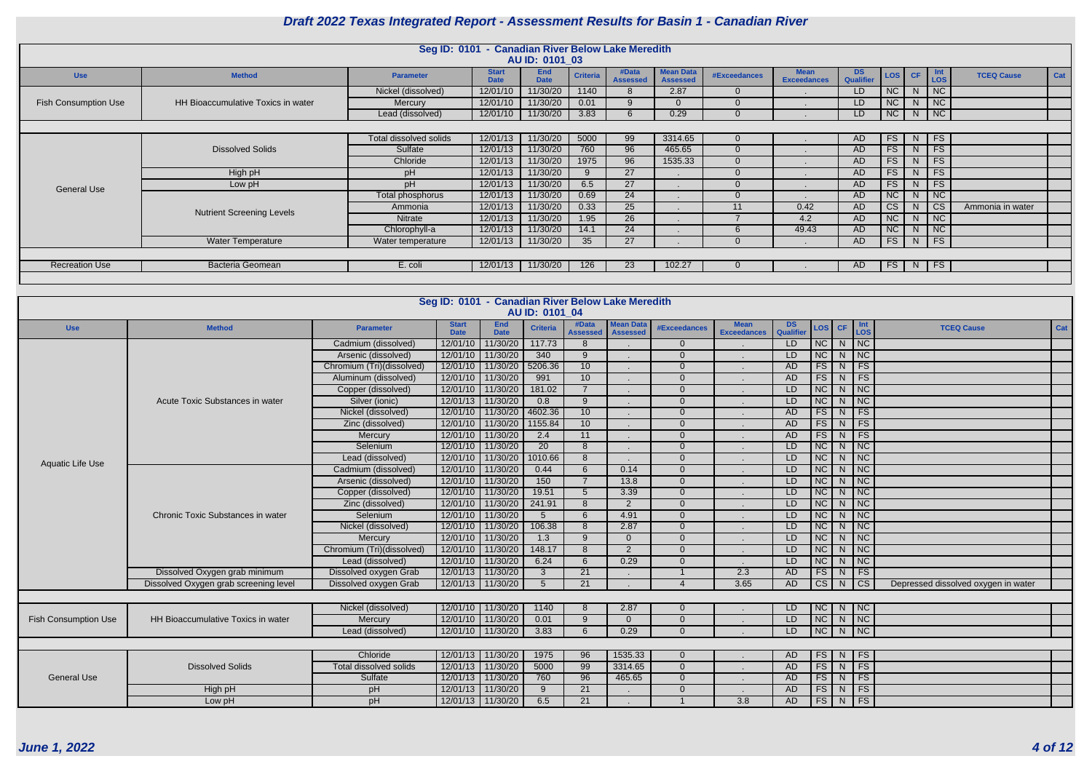|                             |                                    | Seg ID: 0101 - Canadian River Below Lake Meredith |                             | AU ID: 0101 03            |                 |                          |                                     |              |                                   |                  |     |           |                             |                   |     |
|-----------------------------|------------------------------------|---------------------------------------------------|-----------------------------|---------------------------|-----------------|--------------------------|-------------------------------------|--------------|-----------------------------------|------------------|-----|-----------|-----------------------------|-------------------|-----|
| <b>Use</b>                  | <b>Method</b>                      | <b>Parameter</b>                                  | <b>Start</b><br><b>Date</b> | <b>End</b><br><b>Date</b> | <b>Criteria</b> | #Data<br><b>Assessed</b> | <b>Mean Data</b><br><b>Assessed</b> | #Exceedances | <b>Mean</b><br><b>Exceedances</b> | DS.<br>Qualifier | LOS | <b>CF</b> | <b>Int</b><br>LOS           | <b>TCEQ Cause</b> | Cat |
|                             |                                    | Nickel (dissolved)                                | 12/01/10                    | 11/30/20                  | 1140            |                          | 2.87                                |              |                                   | LD               | NC  | N.        | NC                          |                   |     |
| <b>Fish Consumption Use</b> | HH Bioaccumulative Toxics in water | Mercury                                           | 12/01/10                    | 11/30/20                  | 0.01            |                          | $\Omega$                            |              |                                   | LD               | NC  | N         | $\overline{\phantom{a}}$ NC |                   |     |
|                             |                                    | Lead (dissolved)                                  | 12/01/10                    | 11/30/20                  | 3.83            |                          | 0.29                                |              |                                   | LD               | NC  | N         | NC                          |                   |     |
|                             |                                    |                                                   |                             |                           |                 |                          |                                     |              |                                   |                  |     |           |                             |                   |     |
|                             |                                    | Total dissolved solids                            | 12/01/13                    | 11/30/20                  | 5000            | 99                       | 3314.65                             |              |                                   | AD.              | FS  | N         | $\overline{\phantom{a}}$ FS |                   |     |
|                             | <b>Dissolved Solids</b>            | Sulfate                                           | 12/01/13                    | 11/30/20                  | 760             | 96                       | 465.65                              | $\Omega$     |                                   | AD.              | FS  | N         | FS                          |                   |     |
|                             |                                    | Chloride                                          | 12/01/13                    | 11/30/20                  | 1975            | 96                       | 1535.33                             |              |                                   | AD.              | FS  | N         | $\overline{\phantom{a}}$ FS |                   |     |
|                             | High pH                            | рH                                                | 12/01/13                    | 11/30/20                  | 9               | 27                       |                                     |              |                                   | <b>AD</b>        | FS  | N         | FS                          |                   |     |
| <b>General Use</b>          | Low pH                             | pH                                                | 12/01/13                    | 11/30/20                  | 6.5             | 27                       |                                     |              |                                   | <b>AD</b>        | FS  | N         | FS                          |                   |     |
|                             |                                    | Total phosphorus                                  | 12/01/13                    | 11/30/20                  | 0.69            | 24                       |                                     |              |                                   | AD               | NC  | N         | NC                          |                   |     |
|                             | <b>Nutrient Screening Levels</b>   | Ammonia                                           | 12/01/13                    | 11/30/20                  | 0.33            | 25                       |                                     | 11           | 0.42                              | AD.              | CS  | N         | $\overline{\text{cs}}$      | Ammonia in water  |     |
|                             |                                    | Nitrate                                           | 12/01/13                    | 11/30/20                  | 1.95            | 26                       |                                     |              | 4.2                               | AD               | NC  | N         | NC                          |                   |     |
|                             |                                    | Chlorophyll-a                                     | 12/01/13                    | 11/30/20                  | 14.1            | 24                       |                                     |              | 49.43                             | <b>AD</b>        | NC  | N         | <b>NC</b>                   |                   |     |
|                             | <b>Water Temperature</b>           | Water temperature                                 | 12/01/13                    | 11/30/20                  | 35              | 27                       |                                     |              |                                   | AD               | FS  | N         | $\overline{\phantom{a}}$ FS |                   |     |
|                             |                                    |                                                   |                             |                           |                 |                          |                                     |              |                                   |                  |     |           |                             |                   |     |
| <b>Recreation Use</b>       | <b>Bacteria Geomean</b>            | E. coli                                           | 12/01/13                    | 11/30/20                  | 126             | 23                       | 102.27                              |              |                                   | AD.              |     | $FS$ N FS |                             |                   |     |
|                             |                                    |                                                   |                             |                           |                 |                          |                                     |              |                                   |                  |     |           |                             |                   |     |

| AU ID: 0101 04<br><b>Mean Data</b><br><b>Mean</b><br><b>End</b><br>#Data<br><b>Start</b><br>DS<br>Int<br>LOS<br>LOS <sup>I</sup><br><b>Method</b><br><b>Criteria</b><br><b>#Exceedances</b><br>CF<br><b>TCEQ Cause</b><br><b>Use</b><br><b>Parameter</b><br>Qualifier<br><b>Date</b><br><b>Exceedances</b><br><b>Date</b><br><b>Assessed</b><br><b>Assessed</b><br>$\overline{\text{NC}}$<br>11/30/20<br>NC<br>Cadmium (dissolved)<br>12/01/10<br>117.73<br>LD<br>8<br>$\Omega$<br>N,<br>$\overline{\text{NC}}$<br>340<br>$\overline{9}$<br>LD<br>NC<br>Arsenic (dissolved)<br>12/01/10<br>11/30/20<br>$\Omega$<br>N<br>5206.36<br>10<br>FS<br>FS<br>12/01/10<br>11/30/20<br><b>AD</b><br>Chromium (Tri)(dissolved)<br>$\Omega$<br>N<br>FS<br>FS<br>12/01/10<br>991<br>10<br>AD<br>11/30/20<br>Aluminum (dissolved)<br>$\Omega$<br>N<br>$\overline{7}$<br>NC<br>$\overline{\text{NC}}$<br>12/01/10<br>LD<br>N<br>11/30/20<br>181.02<br>Copper (dissolved)<br>$\Omega$<br>$\overline{\overline{\text{NC}}}$<br>NC<br>12/01/13<br>11/30/20<br>0.8<br>9<br>Acute Toxic Substances in water<br>Silver (ionic)<br>LD<br>N<br>$\Omega$<br>$\overline{FS}$<br>4602.36<br>10<br>FS<br>Nickel (dissolved)<br>12/01/10<br>11/30/20<br>AD<br>$\Omega$<br>N<br>$\overline{FS}$<br>10<br>FS<br>1155.84<br>AD<br>Zinc (dissolved)<br>12/01/10<br>11/30/20<br>N<br>$\Omega$<br>$\overline{FS}$<br>FS<br>12/01/10<br>11/30/20<br>2.4<br>11<br>AD<br>Mercury<br>$\Omega$<br>N<br>NC<br>20<br>NC<br>Selenium<br>11/30/20<br>8<br>LD<br>12/01/10<br>$\Omega$<br><sub>N</sub><br>$\overline{8}$<br>$\overline{\text{NC}}$<br>$\overline{NC}$<br>1010.66<br>LD<br>Lead (dissolved)<br>12/01/10<br>11/30/20<br>$\Omega$<br><sub>N</sub><br><b>Aquatic Life Use</b><br>$\overline{NC}$<br>$\overline{6}$<br>LD<br>NC<br>Cadmium (dissolved)<br>12/01/10<br>11/30/20<br>0.44<br>0.14<br>$\Omega$<br>N.<br>$\overline{7}$<br>NC<br>NC<br>12/01/10<br>11/30/20<br>150<br>13.8<br>LD<br>Arsenic (dissolved)<br>$\Omega$<br>N<br>19.51<br>NC<br>$\overline{\text{NC}}$<br>12/01/10<br>11/30/20<br>$5\overline{)}$<br>3.39<br><b>LD</b><br>Copper (dissolved)<br>$\Omega$<br>N<br>$\overline{NC}$<br>$\overline{\text{NC}}$<br>12/01/10<br>11/30/20<br>LD<br>Zinc (dissolved)<br>241.91<br>8<br>$\overline{2}$<br>N<br>$\Omega$<br>NC<br>N<br>12/01/10<br>4.91<br>Chronic Toxic Substances in water<br>Selenium<br>11/30/20<br>$5\overline{)}$<br>6<br><b>LD</b><br>N<br>$\Omega$ |  | Seg ID: 0101 - Canadian River Below Lake Meredith |  |  |  |  |  |     |
|------------------------------------------------------------------------------------------------------------------------------------------------------------------------------------------------------------------------------------------------------------------------------------------------------------------------------------------------------------------------------------------------------------------------------------------------------------------------------------------------------------------------------------------------------------------------------------------------------------------------------------------------------------------------------------------------------------------------------------------------------------------------------------------------------------------------------------------------------------------------------------------------------------------------------------------------------------------------------------------------------------------------------------------------------------------------------------------------------------------------------------------------------------------------------------------------------------------------------------------------------------------------------------------------------------------------------------------------------------------------------------------------------------------------------------------------------------------------------------------------------------------------------------------------------------------------------------------------------------------------------------------------------------------------------------------------------------------------------------------------------------------------------------------------------------------------------------------------------------------------------------------------------------------------------------------------------------------------------------------------------------------------------------------------------------------------------------------------------------------------------------------------------------------------------------------------------------------------------------------------------------------------------------------------------------------------------------------------------------------------------------------------------------------------------------------------------|--|---------------------------------------------------|--|--|--|--|--|-----|
|                                                                                                                                                                                                                                                                                                                                                                                                                                                                                                                                                                                                                                                                                                                                                                                                                                                                                                                                                                                                                                                                                                                                                                                                                                                                                                                                                                                                                                                                                                                                                                                                                                                                                                                                                                                                                                                                                                                                                                                                                                                                                                                                                                                                                                                                                                                                                                                                                                                      |  |                                                   |  |  |  |  |  |     |
|                                                                                                                                                                                                                                                                                                                                                                                                                                                                                                                                                                                                                                                                                                                                                                                                                                                                                                                                                                                                                                                                                                                                                                                                                                                                                                                                                                                                                                                                                                                                                                                                                                                                                                                                                                                                                                                                                                                                                                                                                                                                                                                                                                                                                                                                                                                                                                                                                                                      |  |                                                   |  |  |  |  |  | Cat |
|                                                                                                                                                                                                                                                                                                                                                                                                                                                                                                                                                                                                                                                                                                                                                                                                                                                                                                                                                                                                                                                                                                                                                                                                                                                                                                                                                                                                                                                                                                                                                                                                                                                                                                                                                                                                                                                                                                                                                                                                                                                                                                                                                                                                                                                                                                                                                                                                                                                      |  |                                                   |  |  |  |  |  |     |
|                                                                                                                                                                                                                                                                                                                                                                                                                                                                                                                                                                                                                                                                                                                                                                                                                                                                                                                                                                                                                                                                                                                                                                                                                                                                                                                                                                                                                                                                                                                                                                                                                                                                                                                                                                                                                                                                                                                                                                                                                                                                                                                                                                                                                                                                                                                                                                                                                                                      |  |                                                   |  |  |  |  |  |     |
|                                                                                                                                                                                                                                                                                                                                                                                                                                                                                                                                                                                                                                                                                                                                                                                                                                                                                                                                                                                                                                                                                                                                                                                                                                                                                                                                                                                                                                                                                                                                                                                                                                                                                                                                                                                                                                                                                                                                                                                                                                                                                                                                                                                                                                                                                                                                                                                                                                                      |  |                                                   |  |  |  |  |  |     |
|                                                                                                                                                                                                                                                                                                                                                                                                                                                                                                                                                                                                                                                                                                                                                                                                                                                                                                                                                                                                                                                                                                                                                                                                                                                                                                                                                                                                                                                                                                                                                                                                                                                                                                                                                                                                                                                                                                                                                                                                                                                                                                                                                                                                                                                                                                                                                                                                                                                      |  |                                                   |  |  |  |  |  |     |
|                                                                                                                                                                                                                                                                                                                                                                                                                                                                                                                                                                                                                                                                                                                                                                                                                                                                                                                                                                                                                                                                                                                                                                                                                                                                                                                                                                                                                                                                                                                                                                                                                                                                                                                                                                                                                                                                                                                                                                                                                                                                                                                                                                                                                                                                                                                                                                                                                                                      |  |                                                   |  |  |  |  |  |     |
|                                                                                                                                                                                                                                                                                                                                                                                                                                                                                                                                                                                                                                                                                                                                                                                                                                                                                                                                                                                                                                                                                                                                                                                                                                                                                                                                                                                                                                                                                                                                                                                                                                                                                                                                                                                                                                                                                                                                                                                                                                                                                                                                                                                                                                                                                                                                                                                                                                                      |  |                                                   |  |  |  |  |  |     |
|                                                                                                                                                                                                                                                                                                                                                                                                                                                                                                                                                                                                                                                                                                                                                                                                                                                                                                                                                                                                                                                                                                                                                                                                                                                                                                                                                                                                                                                                                                                                                                                                                                                                                                                                                                                                                                                                                                                                                                                                                                                                                                                                                                                                                                                                                                                                                                                                                                                      |  |                                                   |  |  |  |  |  |     |
|                                                                                                                                                                                                                                                                                                                                                                                                                                                                                                                                                                                                                                                                                                                                                                                                                                                                                                                                                                                                                                                                                                                                                                                                                                                                                                                                                                                                                                                                                                                                                                                                                                                                                                                                                                                                                                                                                                                                                                                                                                                                                                                                                                                                                                                                                                                                                                                                                                                      |  |                                                   |  |  |  |  |  |     |
|                                                                                                                                                                                                                                                                                                                                                                                                                                                                                                                                                                                                                                                                                                                                                                                                                                                                                                                                                                                                                                                                                                                                                                                                                                                                                                                                                                                                                                                                                                                                                                                                                                                                                                                                                                                                                                                                                                                                                                                                                                                                                                                                                                                                                                                                                                                                                                                                                                                      |  |                                                   |  |  |  |  |  |     |
|                                                                                                                                                                                                                                                                                                                                                                                                                                                                                                                                                                                                                                                                                                                                                                                                                                                                                                                                                                                                                                                                                                                                                                                                                                                                                                                                                                                                                                                                                                                                                                                                                                                                                                                                                                                                                                                                                                                                                                                                                                                                                                                                                                                                                                                                                                                                                                                                                                                      |  |                                                   |  |  |  |  |  |     |
|                                                                                                                                                                                                                                                                                                                                                                                                                                                                                                                                                                                                                                                                                                                                                                                                                                                                                                                                                                                                                                                                                                                                                                                                                                                                                                                                                                                                                                                                                                                                                                                                                                                                                                                                                                                                                                                                                                                                                                                                                                                                                                                                                                                                                                                                                                                                                                                                                                                      |  |                                                   |  |  |  |  |  |     |
|                                                                                                                                                                                                                                                                                                                                                                                                                                                                                                                                                                                                                                                                                                                                                                                                                                                                                                                                                                                                                                                                                                                                                                                                                                                                                                                                                                                                                                                                                                                                                                                                                                                                                                                                                                                                                                                                                                                                                                                                                                                                                                                                                                                                                                                                                                                                                                                                                                                      |  |                                                   |  |  |  |  |  |     |
|                                                                                                                                                                                                                                                                                                                                                                                                                                                                                                                                                                                                                                                                                                                                                                                                                                                                                                                                                                                                                                                                                                                                                                                                                                                                                                                                                                                                                                                                                                                                                                                                                                                                                                                                                                                                                                                                                                                                                                                                                                                                                                                                                                                                                                                                                                                                                                                                                                                      |  |                                                   |  |  |  |  |  |     |
|                                                                                                                                                                                                                                                                                                                                                                                                                                                                                                                                                                                                                                                                                                                                                                                                                                                                                                                                                                                                                                                                                                                                                                                                                                                                                                                                                                                                                                                                                                                                                                                                                                                                                                                                                                                                                                                                                                                                                                                                                                                                                                                                                                                                                                                                                                                                                                                                                                                      |  |                                                   |  |  |  |  |  |     |
|                                                                                                                                                                                                                                                                                                                                                                                                                                                                                                                                                                                                                                                                                                                                                                                                                                                                                                                                                                                                                                                                                                                                                                                                                                                                                                                                                                                                                                                                                                                                                                                                                                                                                                                                                                                                                                                                                                                                                                                                                                                                                                                                                                                                                                                                                                                                                                                                                                                      |  |                                                   |  |  |  |  |  |     |
|                                                                                                                                                                                                                                                                                                                                                                                                                                                                                                                                                                                                                                                                                                                                                                                                                                                                                                                                                                                                                                                                                                                                                                                                                                                                                                                                                                                                                                                                                                                                                                                                                                                                                                                                                                                                                                                                                                                                                                                                                                                                                                                                                                                                                                                                                                                                                                                                                                                      |  |                                                   |  |  |  |  |  |     |
| $\overline{NC}$<br>$\overline{\overline{\text{NC}}}$<br>106.38<br>2.87<br>LD<br>Nickel (dissolved)<br>12/01/10<br>11/30/20<br>$\overline{8}$<br>N<br>$\Omega$                                                                                                                                                                                                                                                                                                                                                                                                                                                                                                                                                                                                                                                                                                                                                                                                                                                                                                                                                                                                                                                                                                                                                                                                                                                                                                                                                                                                                                                                                                                                                                                                                                                                                                                                                                                                                                                                                                                                                                                                                                                                                                                                                                                                                                                                                        |  |                                                   |  |  |  |  |  |     |
| $\overline{NC}$<br>$\overline{\overline{\mathsf{NC}}}$<br>12/01/10<br>1.3<br>9<br>ID<br>Mercury<br>11/30/20<br>N<br>$\Omega$<br>$\Omega$                                                                                                                                                                                                                                                                                                                                                                                                                                                                                                                                                                                                                                                                                                                                                                                                                                                                                                                                                                                                                                                                                                                                                                                                                                                                                                                                                                                                                                                                                                                                                                                                                                                                                                                                                                                                                                                                                                                                                                                                                                                                                                                                                                                                                                                                                                             |  |                                                   |  |  |  |  |  |     |
| $\overline{NC}$<br>$\overline{\overline{\mathsf{NC}}}$<br>148.17<br>Chromium (Tri)(dissolved)<br>12/01/10<br>11/30/20<br>8<br>2<br>LD.<br>N<br>$\Omega$                                                                                                                                                                                                                                                                                                                                                                                                                                                                                                                                                                                                                                                                                                                                                                                                                                                                                                                                                                                                                                                                                                                                                                                                                                                                                                                                                                                                                                                                                                                                                                                                                                                                                                                                                                                                                                                                                                                                                                                                                                                                                                                                                                                                                                                                                              |  |                                                   |  |  |  |  |  |     |
| $\overline{\text{NC}}$<br>NC<br>Lead (dissolved)<br>12/01/10<br>11/30/20<br>6.24<br>6<br>0.29<br>LD<br>$\Omega$<br>N                                                                                                                                                                                                                                                                                                                                                                                                                                                                                                                                                                                                                                                                                                                                                                                                                                                                                                                                                                                                                                                                                                                                                                                                                                                                                                                                                                                                                                                                                                                                                                                                                                                                                                                                                                                                                                                                                                                                                                                                                                                                                                                                                                                                                                                                                                                                 |  |                                                   |  |  |  |  |  |     |
| Dissolved Oxygen grab minimum<br>Dissolved oxygen Grab<br>$\overline{21}$<br>FS<br>FS<br>12/01/13<br>11/30/20<br>$\mathbf{3}$<br>2.3<br>AD<br>N                                                                                                                                                                                                                                                                                                                                                                                                                                                                                                                                                                                                                                                                                                                                                                                                                                                                                                                                                                                                                                                                                                                                                                                                                                                                                                                                                                                                                                                                                                                                                                                                                                                                                                                                                                                                                                                                                                                                                                                                                                                                                                                                                                                                                                                                                                      |  |                                                   |  |  |  |  |  |     |
| $\overline{21}$<br>Dissolved Oxygen grab screening level<br>3.65<br>$\overline{\text{CS}}$<br>$\overline{\text{CS}}$<br>Dissolved oxygen Grab<br>12/01/13 11/30/20<br>$\overline{5}$<br><b>AD</b><br>Depressed dissolved oxygen in water<br>N                                                                                                                                                                                                                                                                                                                                                                                                                                                                                                                                                                                                                                                                                                                                                                                                                                                                                                                                                                                                                                                                                                                                                                                                                                                                                                                                                                                                                                                                                                                                                                                                                                                                                                                                                                                                                                                                                                                                                                                                                                                                                                                                                                                                        |  |                                                   |  |  |  |  |  |     |
|                                                                                                                                                                                                                                                                                                                                                                                                                                                                                                                                                                                                                                                                                                                                                                                                                                                                                                                                                                                                                                                                                                                                                                                                                                                                                                                                                                                                                                                                                                                                                                                                                                                                                                                                                                                                                                                                                                                                                                                                                                                                                                                                                                                                                                                                                                                                                                                                                                                      |  |                                                   |  |  |  |  |  |     |
| 11/30/20<br>NC<br>$\overline{\overline{\mathsf{NC}}}$<br>Nickel (dissolved)<br>12/01/10<br>1140<br>8<br>2.87<br>N<br>LD<br>$\Omega$                                                                                                                                                                                                                                                                                                                                                                                                                                                                                                                                                                                                                                                                                                                                                                                                                                                                                                                                                                                                                                                                                                                                                                                                                                                                                                                                                                                                                                                                                                                                                                                                                                                                                                                                                                                                                                                                                                                                                                                                                                                                                                                                                                                                                                                                                                                  |  |                                                   |  |  |  |  |  |     |
| $\overline{\text{NC}}$<br>$\overline{9}$<br>NC<br><b>Fish Consumption Use</b><br>HH Bioaccumulative Toxics in water<br>11/30/20<br>0.01<br>$\Omega$<br>N<br>Mercury<br>12/01/10<br>$\Omega$<br>LD.                                                                                                                                                                                                                                                                                                                                                                                                                                                                                                                                                                                                                                                                                                                                                                                                                                                                                                                                                                                                                                                                                                                                                                                                                                                                                                                                                                                                                                                                                                                                                                                                                                                                                                                                                                                                                                                                                                                                                                                                                                                                                                                                                                                                                                                   |  |                                                   |  |  |  |  |  |     |
| $\overline{NC}$<br>$\overline{NC}$<br>3.83<br>0.29<br>LD<br>$\overline{N}$<br>12/01/10 11/30/20<br>6<br>Lead (dissolved)<br>$\Omega$                                                                                                                                                                                                                                                                                                                                                                                                                                                                                                                                                                                                                                                                                                                                                                                                                                                                                                                                                                                                                                                                                                                                                                                                                                                                                                                                                                                                                                                                                                                                                                                                                                                                                                                                                                                                                                                                                                                                                                                                                                                                                                                                                                                                                                                                                                                 |  |                                                   |  |  |  |  |  |     |
|                                                                                                                                                                                                                                                                                                                                                                                                                                                                                                                                                                                                                                                                                                                                                                                                                                                                                                                                                                                                                                                                                                                                                                                                                                                                                                                                                                                                                                                                                                                                                                                                                                                                                                                                                                                                                                                                                                                                                                                                                                                                                                                                                                                                                                                                                                                                                                                                                                                      |  |                                                   |  |  |  |  |  |     |
| Chloride<br>12/01/13<br>11/30/20<br>1975<br>96<br>1535.33<br>FS<br>F <sub>S</sub><br>AD<br>$\Omega$<br>N,                                                                                                                                                                                                                                                                                                                                                                                                                                                                                                                                                                                                                                                                                                                                                                                                                                                                                                                                                                                                                                                                                                                                                                                                                                                                                                                                                                                                                                                                                                                                                                                                                                                                                                                                                                                                                                                                                                                                                                                                                                                                                                                                                                                                                                                                                                                                            |  |                                                   |  |  |  |  |  |     |
| $\overline{FS}$<br>$\overline{FS}$<br>5000<br>99<br>3314.65<br>12/01/13<br>11/30/20<br><b>AD</b><br><b>Dissolved Solids</b><br><b>Total dissolved solids</b><br>$\Omega$<br>N                                                                                                                                                                                                                                                                                                                                                                                                                                                                                                                                                                                                                                                                                                                                                                                                                                                                                                                                                                                                                                                                                                                                                                                                                                                                                                                                                                                                                                                                                                                                                                                                                                                                                                                                                                                                                                                                                                                                                                                                                                                                                                                                                                                                                                                                        |  |                                                   |  |  |  |  |  |     |
| FS<br>FS<br>760<br>96<br>Sulfate<br>12/01/13<br>11/30/20<br>465.65<br>AD<br>N<br><b>General Use</b><br>$\Omega$                                                                                                                                                                                                                                                                                                                                                                                                                                                                                                                                                                                                                                                                                                                                                                                                                                                                                                                                                                                                                                                                                                                                                                                                                                                                                                                                                                                                                                                                                                                                                                                                                                                                                                                                                                                                                                                                                                                                                                                                                                                                                                                                                                                                                                                                                                                                      |  |                                                   |  |  |  |  |  |     |
| FS<br>FS<br>11/30/20<br>9<br>21<br><b>AD</b><br>High pH<br>pH<br>12/01/13<br>N<br>$\Omega$                                                                                                                                                                                                                                                                                                                                                                                                                                                                                                                                                                                                                                                                                                                                                                                                                                                                                                                                                                                                                                                                                                                                                                                                                                                                                                                                                                                                                                                                                                                                                                                                                                                                                                                                                                                                                                                                                                                                                                                                                                                                                                                                                                                                                                                                                                                                                           |  |                                                   |  |  |  |  |  |     |
| $\overline{21}$<br>FS<br>FS<br>pH<br>11/30/20<br>6.5<br>$\overline{3.8}$<br>AD<br>Low pH<br>12/01/13<br><sup>N</sup>                                                                                                                                                                                                                                                                                                                                                                                                                                                                                                                                                                                                                                                                                                                                                                                                                                                                                                                                                                                                                                                                                                                                                                                                                                                                                                                                                                                                                                                                                                                                                                                                                                                                                                                                                                                                                                                                                                                                                                                                                                                                                                                                                                                                                                                                                                                                 |  |                                                   |  |  |  |  |  |     |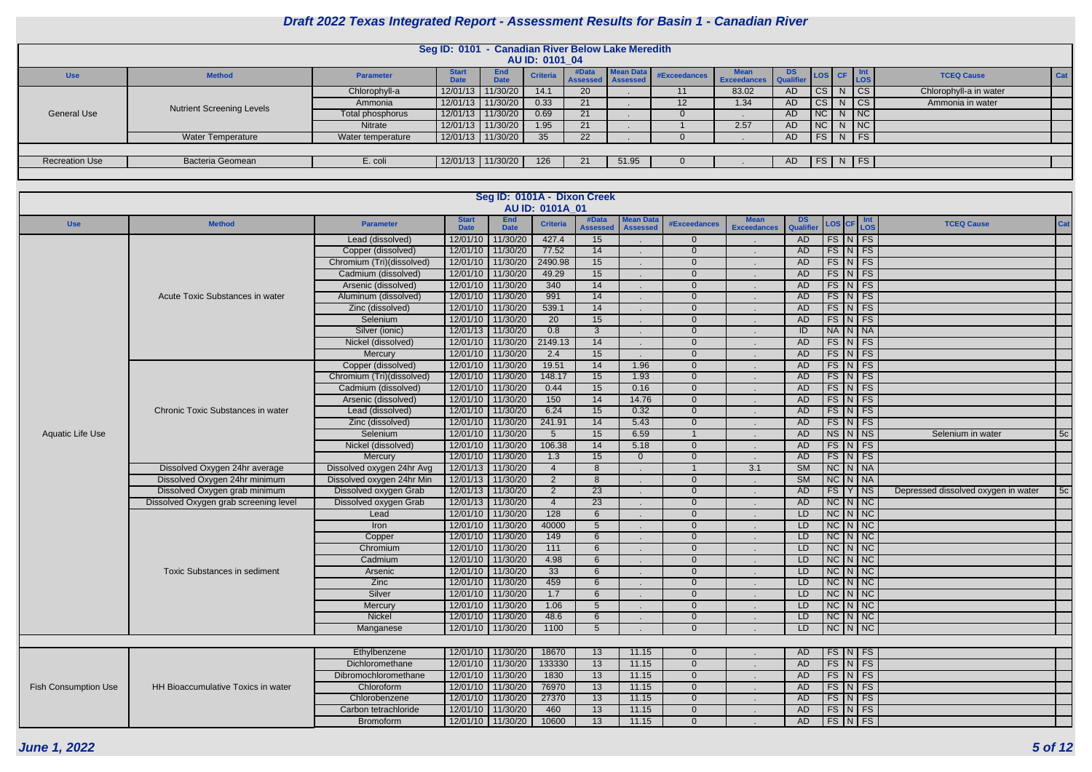|                       |                                  |                   | Seg ID: 0101 - Canadian River Below Lake Meredith |                           | AU ID: 0101 04  |                              |                  |              |                                  |     |             |   |                                           |                        |         |
|-----------------------|----------------------------------|-------------------|---------------------------------------------------|---------------------------|-----------------|------------------------------|------------------|--------------|----------------------------------|-----|-------------|---|-------------------------------------------|------------------------|---------|
| <b>Use</b>            | <b>Method</b>                    | <b>Parameter</b>  | <b>Start</b><br><b>Date</b>                       | <b>End</b><br><b>Date</b> | <b>Criteria</b> | #Data<br>Assessed   Assessed | <b>Mean Data</b> | #Exceedances | Mean DS<br>Exceedances Qualifier |     |             |   | $\log$ CF $\frac{\text{Int}}{\text{LOS}}$ | <b>TCEQ Cause</b>      | $ $ Cat |
|                       |                                  | Chlorophyll-a     | 12/01/13                                          | 11/30/20                  | 14.1            | <b>20</b>                    |                  |              | 83.02                            | AD. | CS          | N | CS                                        | Chlorophyll-a in water |         |
|                       | <b>Nutrient Screening Levels</b> | Ammonia           |                                                   | 12/01/13 11/30/20         | 0.33            | 21                           |                  |              | 1.34                             | AD. | CS          | N | CS                                        | Ammonia in water       |         |
| <b>General Use</b>    |                                  | Total phosphorus  | 12/01/13                                          | 11/30/20                  | 0.69            | 21                           |                  |              |                                  | AD. | $NC \mid N$ |   | NC                                        |                        |         |
|                       |                                  | Nitrate           |                                                   | 12/01/13 11/30/20         | 1.95            | 21                           |                  |              | 2.57                             | AD. | $NC \mid N$ |   | NC                                        |                        |         |
|                       | <b>Water Temperature</b>         | Water temperature |                                                   | 12/01/13 11/30/20         | 35 <sub>2</sub> | 22                           |                  |              |                                  | AD. |             |   | FS N FS                                   |                        |         |
|                       |                                  |                   |                                                   |                           |                 |                              |                  |              |                                  |     |             |   |                                           |                        |         |
| <b>Recreation Use</b> | Bacteria Geomean                 | E. coli           |                                                   | 12/01/13 11/30/20         | 126             |                              | 51.95            |              |                                  | AD. |             |   | FS N FS                                   |                        |         |
|                       |                                  |                   |                                                   |                           |                 |                              |                  |              |                                  |     |             |   |                                           |                        |         |

| AU ID: 0101A_01<br><b>End</b><br><b>Mean Data</b><br><b>Mean</b><br><b>Start</b><br>#Data<br><b>DS</b><br>$\vert$ Int<br>LOS<br><b>Criteria</b><br>LOS CF<br><b>Method</b><br><b>TCEQ Cause</b><br>#Exceedances<br><b>Use</b><br><b>Parameter</b><br><b>Qualifier</b><br><b>Date</b><br><b>Date</b><br><b>Assessed</b><br><b>Assessed</b><br><b>Exceedances</b> | <b>Cat</b> |
|-----------------------------------------------------------------------------------------------------------------------------------------------------------------------------------------------------------------------------------------------------------------------------------------------------------------------------------------------------------------|------------|
|                                                                                                                                                                                                                                                                                                                                                                 |            |
|                                                                                                                                                                                                                                                                                                                                                                 |            |
| $FS\vert N \vert FS$<br>12/01/10<br>11/30/20<br>427.4<br>Lead (dissolved)<br>15<br>$\overline{0}$<br>AD                                                                                                                                                                                                                                                         |            |
| $FS\mid N \mid FS$<br>12/01/10<br>11/30/20<br>77.52<br>14<br><b>AD</b><br>Copper (dissolved)<br>$\Omega$<br>$\sim$                                                                                                                                                                                                                                              |            |
| FS N FS<br>11/30/20<br>2490.98<br>15<br><b>AD</b><br>Chromium (Tri)(dissolved)<br>12/01/10<br>$\Omega$                                                                                                                                                                                                                                                          |            |
| $FS\vert N \vert FS$<br>11/30/20<br>49.29<br>15<br>12/01/10<br><b>AD</b><br>Cadmium (dissolved)<br>$\Omega$<br>$\sim$                                                                                                                                                                                                                                           |            |
| 340<br>$FS\vert N \vert FS$<br>12/01/10<br>11/30/20<br>14<br><b>AD</b><br>Arsenic (dissolved)<br>$\Omega$<br>$\sim$<br>$\sim$                                                                                                                                                                                                                                   |            |
| 991<br>$FS\mid N \mid FS$<br>12/01/10<br>11/30/20<br>14<br>Acute Toxic Substances in water<br>Aluminum (dissolved)<br>$\Omega$<br><b>AD</b><br>$\sim$                                                                                                                                                                                                           |            |
| 539.1<br>14<br>FS N FS<br>12/01/10<br>11/30/20<br>$\Omega$<br><b>AD</b><br>Zinc (dissolved)<br>$\sim$                                                                                                                                                                                                                                                           |            |
| 20<br>$FS\vert N \vert FS$<br>12/01/10<br>11/30/20<br>15<br><b>AD</b><br>Selenium<br>$\Omega$<br>$\sim$                                                                                                                                                                                                                                                         |            |
| 0.8<br>NA N NA<br>12/01/13<br>11/30/20<br>$\mathbf{3}$<br>ID<br>Silver (ionic)<br>$\Omega$                                                                                                                                                                                                                                                                      |            |
| 14<br><b>AD</b><br>$FS\vert N \vert FS$<br>Nickel (dissolved)<br>12/01/10<br>11/30/20<br>2149.13<br>$\Omega$                                                                                                                                                                                                                                                    |            |
| 12/01/10<br>11/30/20<br>$FS\vert N \vert FS$<br>2.4<br>15<br><b>AD</b><br>$\Omega$<br>Mercury<br>$\blacksquare$                                                                                                                                                                                                                                                 |            |
| 12/01/10<br>11/30/20<br>19.51<br>14<br>$FS\vert N \vert FS$<br>Copper (dissolved)<br>1.96<br><b>AD</b><br>$\Omega$                                                                                                                                                                                                                                              |            |
| $FS$ $N$ $FS$<br>Chromium (Tri)(dissolved)<br>12/01/10<br>11/30/20<br>148.17<br>15<br>1.93<br>$\Omega$<br><b>AD</b>                                                                                                                                                                                                                                             |            |
| 15<br>12/01/10<br>11/30/20<br>0.44<br>0.16<br>$FS\vert N \vert FS$<br>Cadmium (dissolved)<br>$\overline{0}$<br><b>AD</b>                                                                                                                                                                                                                                        |            |
| $FS\vert N \vert FS$<br>12/01/10<br>11/30/20<br>150<br>14<br>14.76<br>$\Omega$<br><b>AD</b><br>Arsenic (dissolved)                                                                                                                                                                                                                                              |            |
| 6.24<br><b>AD</b><br>$FS\vert N \vert FS$<br>12/01/10<br>11/30/20<br>15<br>0.32<br>$\Omega$<br>Chronic Toxic Substances in water<br>Lead (dissolved)                                                                                                                                                                                                            |            |
| $FS$ $N$ $FS$<br>12/01/10<br>11/30/20<br>241.91<br>14<br>5.43<br><b>AD</b><br>Zinc (dissolved)<br>$\Omega$<br>$\blacksquare$                                                                                                                                                                                                                                    |            |
| $NS\vert N\vert NS$<br>12/01/10<br>11/30/20<br>15<br>6.59<br><b>AD</b><br><b>Aquatic Life Use</b><br>Selenium<br>5 <sup>5</sup><br>Selenium in water<br>$\sim$                                                                                                                                                                                                  | 5c         |
| 106.38<br>$FS\vert N \vert FS$<br>12/01/10<br>11/30/20<br>14<br>5.18<br><b>AD</b><br>Nickel (dissolved)<br>$\Omega$<br>$\sim$                                                                                                                                                                                                                                   |            |
| $FS\vert N \vert FS$<br>12/01/10<br>11/30/20<br>1.3<br>15<br><b>AD</b><br>Mercury<br>$\Omega$<br>$\Omega$                                                                                                                                                                                                                                                       |            |
| $\overline{\text{SM}}$<br>$NC$ $N$ $NA$<br>Dissolved Oxygen 24hr average<br>12/01/13<br>11/30/20<br>3.1<br>Dissolved oxygen 24hr Avg<br>8                                                                                                                                                                                                                       |            |
| $\overline{2}$<br>$\overline{\text{SM}}$<br>$NC$ $N$ $NA$<br>Dissolved Oxygen 24hr minimum<br>Dissolved oxygen 24hr Min<br>12/01/13 11/30/20<br>8<br>$\Omega$                                                                                                                                                                                                   |            |
| Dissolved Oxygen grab minimum<br>12/01/13<br>$\overline{23}$<br>FS Y NS<br>Dissolved oxygen Grab<br>11/30/20<br>$2^{\circ}$<br><b>AD</b><br>Depressed dissolved oxygen in water<br>$\Omega$                                                                                                                                                                     | 5c         |
| 11/30/20<br>$NC$ $N$ $NC$<br>Dissolved Oxygen grab screening level<br>Dissolved oxygen Grab<br>12/01/13<br>23<br><b>AD</b><br>$\Omega$<br>$\blacksquare$                                                                                                                                                                                                        |            |
| $NC$ $N$ $NC$<br>11/30/20<br>128<br>12/01/10<br>6<br>$\Omega$<br>LD<br>Lead                                                                                                                                                                                                                                                                                     |            |
| $NC$ $N$ $NC$<br>11/30/20<br>40000<br>5<br>$\Omega$<br>LD<br>Iron<br>12/01/10                                                                                                                                                                                                                                                                                   |            |
| $NC$ $N$ $NC$<br>11/30/20<br>LD<br>12/01/10<br>149<br>6<br>$\Omega$<br>Copper<br>$\sim$                                                                                                                                                                                                                                                                         |            |
| $NC$ $N$ $NC$<br>11/30/20<br>111<br>6<br>LD<br>12/01/10<br>$\Omega$<br>Chromium                                                                                                                                                                                                                                                                                 |            |
| $NC$ $N$ $NC$<br>11/30/20<br>4.98<br>LD<br>Cadmium<br>12/01/10<br>6<br>$\Omega$                                                                                                                                                                                                                                                                                 |            |
| $NC$ $N$ $NC$<br>12/01/10<br>11/30/20<br>33<br>6<br>$\Omega$<br>LD<br><b>Toxic Substances in sediment</b><br>Arsenic<br>$\sim$                                                                                                                                                                                                                                  |            |
| $NC$ $N$ $NC$<br>11/30/20<br>459<br>Zinc<br>12/01/10<br>6<br>$\Omega$<br>LD<br>$\sim$                                                                                                                                                                                                                                                                           |            |
| Silver<br>$NC$ $N$ $NC$<br>12/01/10<br>11/30/20<br>1.7<br>LD<br>6<br>$\Omega$                                                                                                                                                                                                                                                                                   |            |
| 12/01/10 11/30/20<br>1.06<br>$NC\ N\nc$<br>Mercury<br>0<br>LD.<br>5<br>$\sim$                                                                                                                                                                                                                                                                                   |            |
| $NC$ $N$ $NC$<br>12/01/10 11/30/20<br>Nickel<br>48.6<br>$\overline{0}$<br>LD<br>6                                                                                                                                                                                                                                                                               |            |
| NCINNC<br>LD<br>12/01/10 11/30/20<br>1100<br>5 <sup>5</sup><br>$\overline{0}$<br>Manganese                                                                                                                                                                                                                                                                      |            |
|                                                                                                                                                                                                                                                                                                                                                                 |            |
| 12/01/10 11/30/20<br>$FS\vert N \vert FS$<br>18670<br>Ethylbenzene<br>13<br>11.15<br>AD<br>0                                                                                                                                                                                                                                                                    |            |
| $FS$ N FS<br>12/01/10 11/30/20<br>133330<br>13<br>Dichloromethane<br>11.15<br>$\overline{0}$<br>AD                                                                                                                                                                                                                                                              |            |
| $FS$ N FS<br>12/01/10 11/30/20<br>1830<br>13<br><b>AD</b><br>Dibromochloromethane<br>11.15<br>$\overline{0}$<br>$\sim$                                                                                                                                                                                                                                          |            |
| $FS\vert N \vert FS$<br>12/01/10 11/30/20<br>76970<br>13<br>11.15<br>$\overline{0}$<br><b>AD</b><br><b>Fish Consumption Use</b><br>HH Bioaccumulative Toxics in water<br>Chloroform<br>$\sim$                                                                                                                                                                   |            |
| $FS\vert N \vert FS$<br>12/01/10 11/30/20<br>Chlorobenzene<br>27370<br>13<br>11.15<br><b>AD</b><br>$\overline{0}$<br>$\sim$                                                                                                                                                                                                                                     |            |
| $FS\ NFS$<br>12/01/10 11/30/20<br>Carbon tetrachloride<br>460<br>13<br>11.15<br>$\overline{0}$<br>AD<br>$\sim$                                                                                                                                                                                                                                                  |            |
| $FS\mid N \mid FS \mid$<br>12/01/10 11/30/20<br>10600<br>13<br>AD<br>Bromoform<br>11.15<br>$\overline{0}$                                                                                                                                                                                                                                                       |            |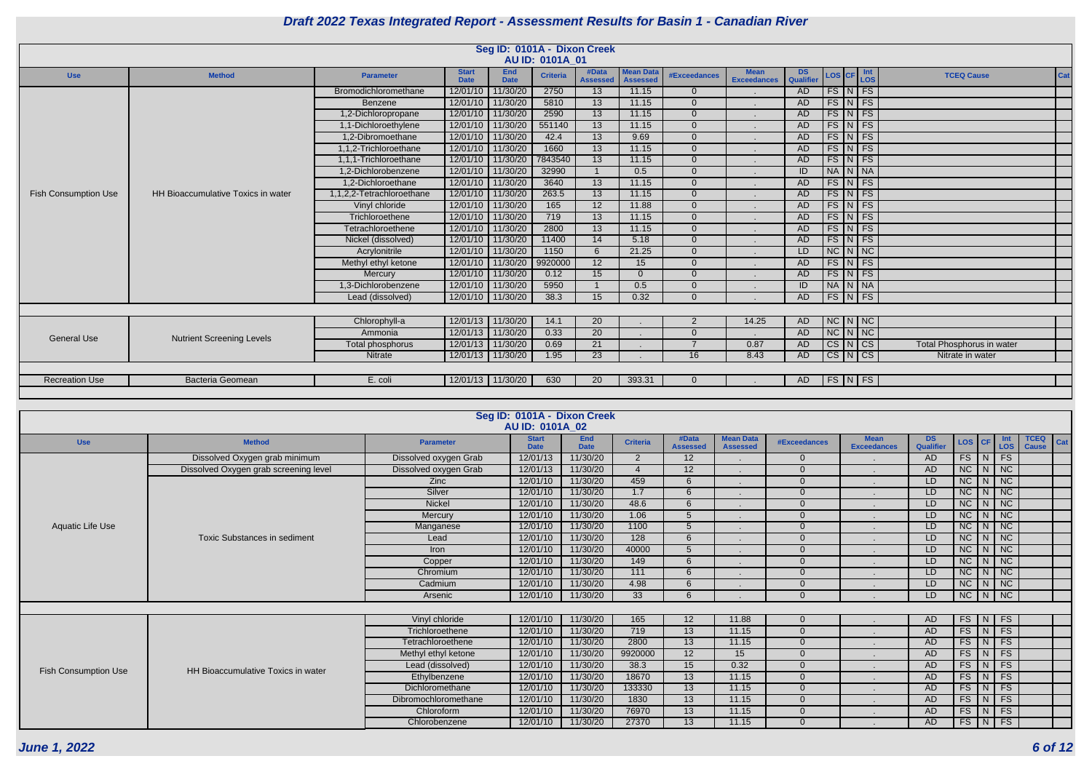| <b>DS</b><br><b>Qualifier</b> | <b>LOS</b>               | CF                      | Int<br><b>LOS</b>      | <b>TCEQ Cause</b>                | Cat |
|-------------------------------|--------------------------|-------------------------|------------------------|----------------------------------|-----|
| <b>AD</b>                     | <b>FS</b>                | N                       | FS                     |                                  |     |
| <b>AD</b>                     | <b>FS</b>                | N                       | FS                     |                                  |     |
| <b>AD</b>                     | <b>FS</b>                | N                       | <b>FS</b>              |                                  |     |
| <b>AD</b>                     | $\overline{\text{FS}}$   | N                       | FS                     |                                  |     |
| <b>AD</b>                     | <b>FS</b>                | N                       | FS                     |                                  |     |
| <b>AD</b>                     | <b>FS</b>                | N                       | FS                     |                                  |     |
| <b>AD</b>                     | <b>FS</b>                | N                       | FS                     |                                  |     |
| $\overline{ID}$               | <b>NA</b>                | $\mathsf{N}$            | <b>NA</b>              |                                  |     |
| <b>AD</b>                     | <b>FS</b>                | N                       | <b>FS</b>              |                                  |     |
| <b>AD</b>                     | $\overline{\text{FS}}$   | N                       | FS                     |                                  |     |
| <b>AD</b>                     | <b>FS</b>                | N                       | $\overline{FS}$        |                                  |     |
| <b>AD</b>                     | FS                       | N                       | FS                     |                                  |     |
| <b>AD</b>                     | <b>FS</b>                | N                       | FS                     |                                  |     |
| <b>AD</b>                     | $\overline{\text{FS}}$   | N                       | FS                     |                                  |     |
| LD                            | <b>NC</b>                | $\mathsf{N}$            | <b>NC</b>              |                                  |     |
| <b>AD</b>                     | <b>FS</b>                | N                       | <b>FS</b>              |                                  |     |
| <b>AD</b>                     | <b>FS</b>                | N                       | FS                     |                                  |     |
| ID                            | <b>NA</b>                | N                       | <b>NA</b>              |                                  |     |
| <b>AD</b>                     | <b>FS</b>                | N                       | <b>FS</b>              |                                  |     |
|                               |                          |                         |                        |                                  |     |
| <b>AD</b>                     | $\overline{\text{NC}}$   | $\overline{N}$          | $\overline{\text{NC}}$ |                                  |     |
| <b>AD</b>                     | $\overline{\text{NC}}$   | N                       | $\overline{\text{NC}}$ |                                  |     |
| <b>AD</b>                     | $\overline{\text{cs}}$   | N                       | $\overline{\text{CS}}$ | <b>Total Phosphorus in water</b> |     |
| <b>AD</b>                     | $\overline{\text{CS}}$   | $\overline{\mathsf{N}}$ | $\overline{\text{CS}}$ | Nitrate in water                 |     |
|                               |                          |                         |                        |                                  |     |
| <b>AD</b>                     | $\overline{\mathsf{FS}}$ | $\mathsf{N}$            | FS                     |                                  |     |
|                               |                          |                         |                        |                                  |     |

|                             |                                    |                           |                             |                           | Seg ID: 0101A - Dixon Creek<br>AU ID: 0101A 01 |                          |                                     |                     |                                   |                 |  |                                                                         |                           |
|-----------------------------|------------------------------------|---------------------------|-----------------------------|---------------------------|------------------------------------------------|--------------------------|-------------------------------------|---------------------|-----------------------------------|-----------------|--|-------------------------------------------------------------------------|---------------------------|
| <b>Use</b>                  | <b>Method</b>                      | <b>Parameter</b>          | <b>Start</b><br><b>Date</b> | <b>End</b><br><b>Date</b> | <b>Criteria</b>                                | #Data<br><b>Assessed</b> | <b>Mean Data</b><br><b>Assessed</b> | <b>#Exceedances</b> | <b>Mean</b><br><b>Exceedances</b> | DS<br>Qualifier |  | $\textsf{LOS}\left[\textsf{CF}\right]\frac{\textsf{Int}}{\textsf{LOS}}$ | <b>TCEQ Cause</b>         |
|                             |                                    | Bromodichloromethane      | 12/01/10                    | 11/30/20                  | 2750                                           | 13                       | 11.15                               | $\overline{0}$      |                                   | <b>AD</b>       |  | $FS$ $N$ $FS$                                                           |                           |
|                             |                                    | Benzene                   | 12/01/10                    | 11/30/20                  | 5810                                           | 13                       | 11.15                               | $\Omega$            |                                   | AD              |  | $FS\vert N \vert FS$                                                    |                           |
|                             |                                    | 1,2-Dichloropropane       | 12/01/10                    | 11/30/20                  | 2590                                           | 13                       | 11.15                               | $\Omega$            |                                   | AD              |  | $FS\vert N \vert FS$                                                    |                           |
|                             |                                    | 1,1-Dichloroethylene      | 12/01/10                    | 11/30/20                  | 551140                                         | 13                       | 11.15                               | $\overline{0}$      |                                   | AD              |  | $FS\vert N \vert FS$                                                    |                           |
|                             |                                    | 1,2-Dibromoethane         |                             | 12/01/10   11/30/20       | 42.4                                           | 13                       | 9.69                                | $\Omega$            |                                   | AD              |  | FS N FS                                                                 |                           |
|                             |                                    | 1,1,2-Trichloroethane     |                             | 12/01/10 11/30/20         | 1660                                           | 13                       | 11.15                               | $\Omega$            |                                   | <b>AD</b>       |  | $FS$ $N$ $FS$                                                           |                           |
|                             |                                    | 1,1,1-Trichloroethane     |                             | 12/01/10 11/30/20         | 7843540                                        | $\overline{13}$          | 11.15                               | $\overline{0}$      |                                   | AD              |  | $FS\vert N \vert FS$                                                    |                           |
|                             |                                    | 1,2-Dichlorobenzene       | 12/01/10                    | 11/30/20                  | 32990                                          |                          | 0.5                                 | $\Omega$            |                                   | ID              |  | NA N NA                                                                 |                           |
|                             |                                    | 1.2-Dichloroethane        | 12/01/10                    | 11/30/20                  | 3640                                           | 13                       | 11.15                               | $\Omega$            |                                   | AD              |  | $FS\vert N \vert FS$                                                    |                           |
| <b>Fish Consumption Use</b> | HH Bioaccumulative Toxics in water | 1,1,2,2-Tetrachloroethane | 12/01/10                    | 11/30/20                  | 263.5                                          | 13                       | 11.15                               | $\Omega$            |                                   | AD              |  | $FS\vert N \vert FS$                                                    |                           |
|                             |                                    | Vinyl chloride            | 12/01/10                    | 11/30/20                  | 165                                            | 12                       | 11.88                               | $\Omega$            |                                   | AD              |  | $FS\vert N \vert FS$                                                    |                           |
|                             |                                    | Trichloroethene           | 12/01/10                    | 11/30/20                  | 719                                            | 13                       | 11.15                               | $\Omega$            |                                   | AD.             |  | $FS\vert N \vert FS$                                                    |                           |
|                             |                                    | Tetrachloroethene         | 12/01/10                    | 11/30/20                  | 2800                                           | 13                       | 11.15                               | $\Omega$            |                                   | AD              |  | $FS$ $N$ $FS$                                                           |                           |
|                             |                                    | Nickel (dissolved)        |                             | 12/01/10 11/30/20         | 11400                                          | 14                       | 5.18                                | $\overline{0}$      |                                   | AD              |  | $FS\vert N \vert FS$                                                    |                           |
|                             |                                    | Acrylonitrile             |                             | 12/01/10 11/30/20         | 1150                                           | $6\overline{6}$          | 21.25                               | $\overline{0}$      |                                   | LD              |  | $NC$ $N$ $NC$                                                           |                           |
|                             |                                    | Methyl ethyl ketone       |                             | 12/01/10 11/30/20         | 9920000                                        | 12                       | 15                                  | $\Omega$            |                                   | <b>AD</b>       |  | $FS\vert N \vert FS$                                                    |                           |
|                             |                                    | Mercury                   | 12/01/10                    | 11/30/20                  | 0.12                                           | 15                       | $\Omega$                            | $\Omega$            |                                   | AD              |  | $FS\vert N \vert FS$                                                    |                           |
|                             |                                    | 1.3-Dichlorobenzene       | 12/01/10                    | 11/30/20                  | 5950                                           |                          | 0.5                                 | $\Omega$            |                                   | ID              |  | NA N NA                                                                 |                           |
|                             |                                    | Lead (dissolved)          | 12/01/10 11/30/20           |                           | 38.3                                           | 15                       | 0.32                                | $\Omega$            |                                   | AD              |  | $FS\vert N \vert FS$                                                    |                           |
|                             |                                    |                           |                             |                           |                                                |                          |                                     |                     |                                   |                 |  |                                                                         |                           |
|                             |                                    | Chlorophyll-a             |                             | 12/01/13 11/30/20         | 14.1                                           | 20                       |                                     | 2                   | 14.25                             | AD              |  | $NC$ $N$ $NC$                                                           |                           |
|                             |                                    | Ammonia                   | 12/01/13                    | 11/30/20                  | 0.33                                           | $\overline{20}$          |                                     | $\Omega$            |                                   | AD              |  | $NC$ $N$ $NC$                                                           |                           |
| <b>General Use</b>          | <b>Nutrient Screening Levels</b>   | Total phosphorus          | 12/01/13                    | 11/30/20                  | 0.69                                           | 21                       |                                     | $\overline{7}$      | 0.87                              | AD              |  | $CS\vert N\vert CS$                                                     | Total Phosphorus in water |
|                             |                                    | <b>Nitrate</b>            |                             | 12/01/13 11/30/20         | 1.95                                           | 23                       |                                     | 16                  | 8.43                              | AD.             |  | $CS\vert N\vert CS$                                                     | Nitrate in water          |
|                             |                                    |                           |                             |                           |                                                |                          |                                     |                     |                                   |                 |  |                                                                         |                           |
| <b>Recreation Use</b>       | <b>Bacteria Geomean</b>            | E. coli                   |                             | 12/01/13 11/30/20         | 630                                            | 20                       | 393.31                              | $\Omega$            |                                   | AD.             |  | $FS\vert N \vert FS \vert$                                              |                           |
|                             |                                    |                           |                             |                           |                                                |                          |                                     |                     |                                   |                 |  |                                                                         |                           |

|                             |                                       |                       | Seg ID: 0101A - Dixon Creek |                           |                 |                          |                                     |                     |                                   |                        |          |   |                   |                                    |
|-----------------------------|---------------------------------------|-----------------------|-----------------------------|---------------------------|-----------------|--------------------------|-------------------------------------|---------------------|-----------------------------------|------------------------|----------|---|-------------------|------------------------------------|
|                             |                                       |                       | <b>AU ID: 0101A 02</b>      |                           |                 |                          |                                     |                     |                                   |                        |          |   |                   |                                    |
| <b>Use</b>                  | <b>Method</b>                         | <b>Parameter</b>      | <b>Start</b><br><b>Date</b> | <b>End</b><br><b>Date</b> | <b>Criteria</b> | #Data<br><b>Assessed</b> | <b>Mean Data</b><br><b>Assessed</b> | <b>#Exceedances</b> | <b>Mean</b><br><b>Exceedances</b> | <b>DS</b><br>Qualifier | LOS CF   |   | Int<br><b>LOS</b> | <b>TCEQ</b><br>Cat<br><b>Cause</b> |
|                             | Dissolved Oxygen grab minimum         | Dissolved oxygen Grab | 12/01/13                    | 11/30/20                  | 2               | 12                       |                                     | $\Omega$            |                                   | <b>AD</b>              | FS       | N | FS                |                                    |
|                             | Dissolved Oxygen grab screening level | Dissolved oxygen Grab | 12/01/13                    | 11/30/20                  | $\overline{4}$  | 12                       | $\sim$                              | $\Omega$            |                                   | <b>AD</b>              | NC       |   | $N$ NC            |                                    |
|                             |                                       | <b>Zinc</b>           | 12/01/10                    | 11/30/20                  | 459             | 6                        |                                     | $\Omega$            |                                   | LD                     | NC       | N | NC                |                                    |
|                             |                                       | Silver                | 12/01/10                    | 11/30/20                  | 1.7             | 6                        |                                     | $\Omega$            |                                   | LD                     | NC       |   | $N$   NC          |                                    |
|                             |                                       | <b>Nickel</b>         | 12/01/10                    | 11/30/20                  | 48.6            | 6                        |                                     | $\Omega$            |                                   | LD                     | NC       | N | NC                |                                    |
|                             |                                       | Mercury               | 12/01/10                    | 11/30/20                  | 1.06            | 5                        |                                     | $\Omega$            |                                   | LD                     | NC       | N | NC                |                                    |
| Aquatic Life Use            |                                       | Manganese             | 12/01/10                    | 11/30/20                  | 1100            | $\overline{5}$           | $\sim$                              | $\Omega$            |                                   | LD                     | NC       | N | NC                |                                    |
|                             | <b>Toxic Substances in sediment</b>   | Lead                  | 12/01/10                    | 11/30/20                  | 128             | 6                        |                                     | $\Omega$            |                                   | LD                     | NC       | N | <b>NC</b>         |                                    |
|                             |                                       | <b>Iron</b>           | 12/01/10                    | 11/30/20                  | 40000           | 5                        |                                     | $\Omega$            |                                   | LD                     | NC       | N | NC                |                                    |
|                             |                                       | Copper                | 12/01/10                    | 11/30/20                  | 149             | 6                        | $\mathbf{r}$                        | $\Omega$            |                                   | LD                     | NC       | N | NC                |                                    |
|                             |                                       | Chromium              | 12/01/10                    | 11/30/20                  | 111             | 6                        |                                     | $\Omega$            |                                   | LD                     | NC       | N | NC                |                                    |
|                             |                                       | Cadmium               | 12/01/10                    | 11/30/20                  | 4.98            | 6                        |                                     | $\Omega$            |                                   | LD.                    | NC       | N | NC                |                                    |
|                             |                                       | Arsenic               | 12/01/10                    | 11/30/20                  | 33              | 6                        |                                     | $\Omega$            |                                   | LD.                    | NC       | N | <b>NC</b>         |                                    |
|                             |                                       |                       |                             |                           |                 |                          |                                     |                     |                                   |                        |          |   |                   |                                    |
|                             |                                       | Vinyl chloride        | 12/01/10                    | 11/30/20                  | 165             | 12                       | 11.88                               | $\Omega$            |                                   | <b>AD</b>              | FS       | N | FS                |                                    |
|                             |                                       | Trichloroethene       | 12/01/10                    | 11/30/20                  | 719             | 13                       | 11.15                               | $\Omega$            |                                   | <b>AD</b>              | $FS$ $N$ |   | FS                |                                    |
|                             |                                       | Tetrachloroethene     | 12/01/10                    | 11/30/20                  | 2800            | 13                       | 11.15                               | $\Omega$            |                                   | <b>AD</b>              | FS       | N | FS                |                                    |
|                             |                                       | Methyl ethyl ketone   | 12/01/10                    | 11/30/20                  | 9920000         | 12                       | 15                                  | $\Omega$            |                                   | <b>AD</b>              | FS       | N | FS                |                                    |
| <b>Fish Consumption Use</b> | HH Bioaccumulative Toxics in water    | Lead (dissolved)      | 12/01/10                    | 11/30/20                  | 38.3            | 15                       | 0.32                                | $\Omega$            |                                   | <b>AD</b>              | FS       | N | FS                |                                    |
|                             |                                       | Ethylbenzene          | 12/01/10                    | 11/30/20                  | 18670           | 13                       | 11.15                               | $\Omega$            |                                   | <b>AD</b>              | FS       | N | FS                |                                    |
|                             |                                       | Dichloromethane       | 12/01/10                    | 11/30/20                  | 133330          | 13                       | 11.15                               | $\Omega$            |                                   | <b>AD</b>              | FS       | N | FS                |                                    |
|                             |                                       | Dibromochloromethane  | 12/01/10                    | 11/30/20                  | 1830            | 13                       | 11.15                               | $\Omega$            |                                   | <b>AD</b>              | FS       | N | FS                |                                    |
|                             |                                       | Chloroform            | 12/01/10                    | 11/30/20                  | 76970           | $\overline{13}$          | 11.15                               | $\Omega$            | $\blacksquare$                    | <b>AD</b>              | FS       | N | FS                |                                    |
|                             |                                       | Chlorobenzene         | 12/01/10                    | 11/30/20                  | 27370           | 13                       | 11.15                               | $\Omega$            |                                   | <b>AD</b>              | FS       | N | FS                |                                    |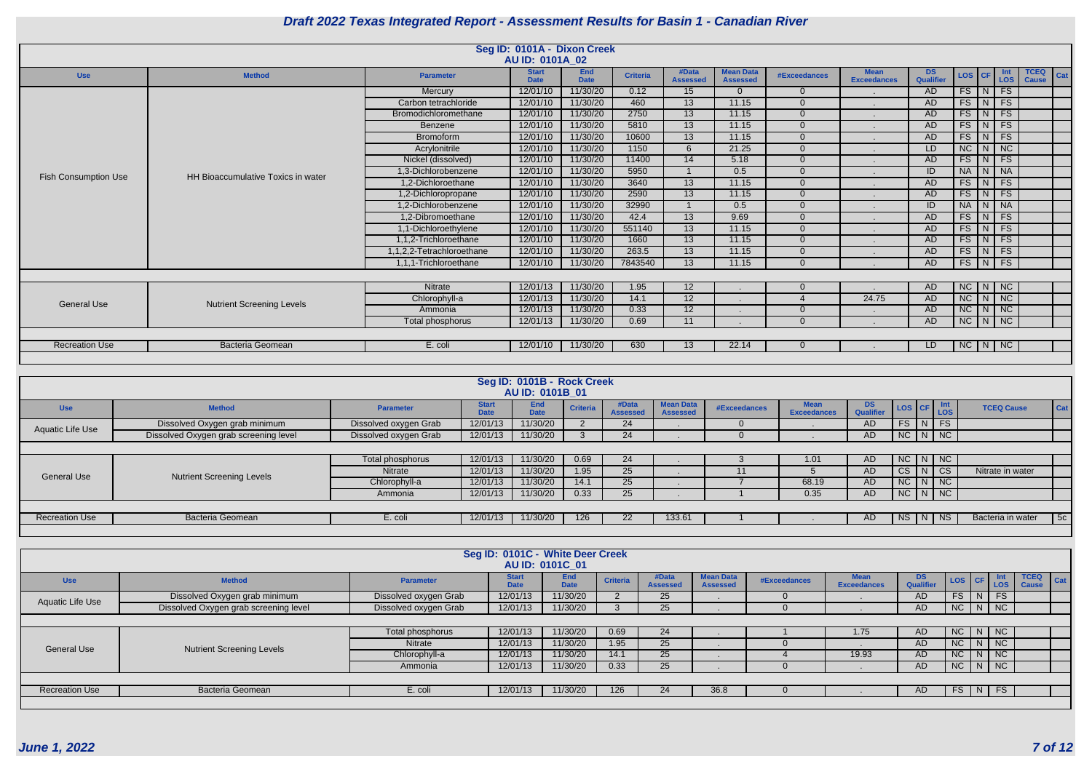|                             |                                    |                           | Seg ID: 0101A - Dixon Creek |                           |                 |                          |                                     |                        |                                   |                  |                     |               |                             |                             |     |
|-----------------------------|------------------------------------|---------------------------|-----------------------------|---------------------------|-----------------|--------------------------|-------------------------------------|------------------------|-----------------------------------|------------------|---------------------|---------------|-----------------------------|-----------------------------|-----|
|                             |                                    |                           | AU ID: 0101A_02             |                           |                 |                          |                                     |                        |                                   |                  |                     |               |                             |                             |     |
| <b>Use</b>                  | <b>Method</b>                      | <b>Parameter</b>          | <b>Start</b><br><b>Date</b> | <b>End</b><br><b>Date</b> | <b>Criteria</b> | #Data<br><b>Assessed</b> | <b>Mean Data</b><br><b>Assessed</b> | #Exceedances           | <b>Mean</b><br><b>Exceedances</b> | DS.<br>Qualifier | LOS CF              |               | Int<br><b>LOS</b>           | <b>TCEQ</b><br><b>Cause</b> | Cat |
|                             |                                    | Mercury                   | 12/01/10                    | 11/30/20                  | 0.12            | 15                       | $\Omega$                            | $\Omega$               |                                   | AD               |                     | $FS$ $N$ $FS$ |                             |                             |     |
|                             |                                    | Carbon tetrachloride      | 12/01/10                    | 11/30/20                  | 460             | 13                       | 11.15                               | $\Omega$               |                                   | AD               |                     | $FS$ $N$ $FS$ |                             |                             |     |
|                             |                                    | Bromodichloromethane      | 12/01/10                    | 11/30/20                  | 2750            | 13                       | 11.15                               | $\Omega$               |                                   | AD.              | $FS$ $N$            |               | $\overline{\phantom{a}}$ FS |                             |     |
|                             |                                    | Benzene                   | 12/01/10                    | 11/30/20                  | 5810            | 13                       | 11.15                               | $\Omega$               |                                   | <b>AD</b>        |                     | $FS$ $N$ $FS$ |                             |                             |     |
|                             |                                    | <b>Bromoform</b>          | 12/01/10                    | 11/30/20                  | 10600           | 13                       | 11.15                               | $\Omega$               |                                   | AD               |                     | $FS$ $N$ $FS$ |                             |                             |     |
|                             |                                    | Acrylonitrile             | 12/01/10                    | 11/30/20                  | 1150            | 6                        | 21.25                               | $\Omega$               |                                   | LD.              |                     | $NC$ $N$ $NC$ |                             |                             |     |
|                             |                                    | Nickel (dissolved)        | 12/01/10                    | 11/30/20                  | 11400           | 14                       | 5.18                                | $\Omega$               |                                   | <b>AD</b>        | FS                  | N             | FS                          |                             |     |
| <b>Fish Consumption Use</b> | HH Bioaccumulative Toxics in water | 1,3-Dichlorobenzene       | 12/01/10                    | 11/30/20                  | 5950            |                          | 0.5                                 | $\Omega$               |                                   | ID               | NA N NA             |               |                             |                             |     |
|                             |                                    | 1,2-Dichloroethane        | 12/01/10                    | 11/30/20                  | 3640            | 13                       | 11.15                               | $\Omega$               |                                   | AD               | $FS$   N            |               | <b>FS</b>                   |                             |     |
|                             |                                    | 1,2-Dichloropropane       | 12/01/10                    | 11/30/20                  | 2590            | 13                       | 11.15                               | $\Omega$               |                                   | <b>AD</b>        | FS                  | N             | FS                          |                             |     |
|                             |                                    | 1,2-Dichlorobenzene       | 12/01/10                    | 11/30/20                  | 32990           |                          | 0.5                                 | $\Omega$               |                                   | ID               | NA N NA             |               |                             |                             |     |
|                             |                                    | 1,2-Dibromoethane         | 12/01/10                    | 11/30/20                  | 42.4            | 13                       | 9.69                                | $\Omega$               |                                   | <b>AD</b>        | $FS$   N            |               | FS                          |                             |     |
|                             |                                    | 1,1-Dichloroethylene      | 12/01/10                    | 11/30/20                  | 551140          | 13                       | 11.15                               | $\Omega$               |                                   | <b>AD</b>        | $FS$ $N$            |               | FS                          |                             |     |
|                             |                                    | 1,1,2-Trichloroethane     | 12/01/10                    | 11/30/20                  | 1660            | 13                       | 11.15                               | $\Omega$               |                                   | AD               |                     | $FS$ $N$ $FS$ |                             |                             |     |
|                             |                                    | 1,1,2,2-Tetrachloroethane | 12/01/10                    | 11/30/20                  | 263.5           | 13                       | 11.15                               | $\Omega$               |                                   | AD               |                     | $FS$ $N$ $FS$ |                             |                             |     |
|                             |                                    | 1,1,1-Trichloroethane     | 12/01/10                    | 11/30/20                  | 7843540         | 13                       | 11.15                               | $\Omega$               |                                   | <b>AD</b>        |                     | $FS$ $N$ $FS$ |                             |                             |     |
|                             |                                    |                           |                             |                           |                 |                          |                                     |                        |                                   |                  |                     |               |                             |                             |     |
|                             |                                    | Nitrate                   | 12/01/13                    | 11/30/20                  | 1.95            | 12                       |                                     | $\Omega$               |                                   | AD               | $NC$ $N$ $NC$       |               |                             |                             |     |
| <b>General Use</b>          |                                    | Chlorophyll-a             | 12/01/13                    | 11/30/20                  | 14.1            | 12                       |                                     | $\boldsymbol{\Lambda}$ | 24.75                             | AD               | $NC$ $N$ $NC$       |               |                             |                             |     |
|                             | <b>Nutrient Screening Levels</b>   | Ammonia                   | 12/01/13                    | 11/30/20                  | 0.33            | 12                       |                                     | $\Omega$               |                                   | <b>AD</b>        | $NC$ $N$ $NC$       |               |                             |                             |     |
|                             |                                    | Total phosphorus          | 12/01/13                    | 11/30/20                  | 0.69            | 11                       |                                     | $\Omega$               |                                   | AD               | $NC$ $N$ $NC$       |               |                             |                             |     |
|                             |                                    |                           |                             |                           |                 |                          |                                     |                        |                                   |                  |                     |               |                             |                             |     |
| <b>Recreation Use</b>       | <b>Bacteria Geomean</b>            | E. coli                   | 12/01/10                    | 11/30/20                  | 630             | 13                       | 22.14                               | $\Omega$               |                                   | LD.              | $NC \mid N \mid NC$ |               |                             |                             |     |
|                             |                                    |                           |                             |                           |                 |                          |                                     |                        |                                   |                  |                     |               |                             |                             |     |

|                       |                                       |                       |                             | Seg ID: 0101B - Rock Creek<br><b>AU ID: 0101B 01</b> |                 |                          |                                     |              |                            |                  |                       |                        |                   |     |
|-----------------------|---------------------------------------|-----------------------|-----------------------------|------------------------------------------------------|-----------------|--------------------------|-------------------------------------|--------------|----------------------------|------------------|-----------------------|------------------------|-------------------|-----|
| <b>Use</b>            | <b>Method</b>                         | <b>Parameter</b>      | <b>Start</b><br><b>Date</b> | <b>End</b><br><b>Date</b>                            | <b>Criteria</b> | #Data<br><b>Assessed</b> | <b>Mean Data</b><br><b>Assessed</b> | #Exceedances | Mean<br><b>Exceedances</b> | DS.<br>Qualifier | LOS CF Int            |                        | <b>TCEQ Cause</b> | Cat |
| Aquatic Life Use      | Dissolved Oxygen grab minimum         | Dissolved oxygen Grab | 12/01/13                    | 11/30/20                                             |                 | 24                       |                                     |              |                            | <b>AD</b>        | FS                    | $\lfloor N \rfloor$ FS |                   |     |
|                       | Dissolved Oxygen grab screening level | Dissolved oxygen Grab | 12/01/13                    | 11/30/20                                             |                 | 24                       |                                     |              |                            | <b>AD</b>        | $NC$ $N$ $NC$         |                        |                   |     |
|                       |                                       |                       |                             |                                                      |                 |                          |                                     |              |                            |                  |                       |                        |                   |     |
|                       |                                       | Total phosphorus      | 12/01/13                    | 11/30/20                                             | 0.69            | 24                       |                                     |              | 1.01                       | <b>AD</b>        | $NC$ $\mid N \mid NC$ |                        |                   |     |
| <b>General Use</b>    | <b>Nutrient Screening Levels</b>      | Nitrate               | 12/01/13                    | 11/30/20                                             | 1.95            | 25                       |                                     | 11           |                            | AD               | CS                    | $\vert N \vert$ CS     | Nitrate in water  |     |
|                       |                                       | Chlorophyll-a         | 12/01/13                    | 11/30/20                                             | 14.1            | 25                       |                                     |              | 68.19                      | AD               | $NC$ $N$ $NC$         |                        |                   |     |
|                       |                                       | Ammonia               | 12/01/13                    | 11/30/20                                             | 0.33            | 25                       |                                     |              | 0.35                       | AD               | $NC$ $N$ $NC$         |                        |                   |     |
|                       |                                       |                       |                             |                                                      |                 |                          |                                     |              |                            |                  |                       |                        |                   |     |
| <b>Recreation Use</b> | <b>Bacteria Geomean</b>               | E. coli               | 12/01/13                    | 11/30/20                                             | 126             | 22                       | 133.61                              |              |                            | AD.              | <b>NS</b>             | $\lfloor N \rfloor$ NS | Bacteria in water | 5c  |
|                       |                                       |                       |                             |                                                      |                 |                          |                                     |              |                            |                  |                       |                        |                   |     |

|                       |                                       |                       | Seg ID: 0101C - White Deer Creek | AU ID: 0101C 01           |                 |                          |                                     |              |                                   |                               |           |                      |                             |            |
|-----------------------|---------------------------------------|-----------------------|----------------------------------|---------------------------|-----------------|--------------------------|-------------------------------------|--------------|-----------------------------------|-------------------------------|-----------|----------------------|-----------------------------|------------|
| <b>Use</b>            | <b>Method</b>                         | <b>Parameter</b>      | <b>Start</b><br><b>Date</b>      | <b>End</b><br><b>Date</b> | <b>Criteria</b> | #Data<br><b>Assessed</b> | <b>Mean Data</b><br><b>Assessed</b> | #Exceedances | <b>Mean</b><br><b>Exceedances</b> | <b>DS</b><br><b>Qualifier</b> | LOG CF    | Int<br>LOS           | <b>TCEQ</b><br><b>Cause</b> | <b>Cat</b> |
| Aquatic Life Use      | Dissolved Oxygen grab minimum         | Dissolved oxygen Grab | 12/01/13                         | 11/30/20                  |                 | 25                       |                                     |              |                                   | AD                            | <b>FS</b> | <b>FS</b><br>N       |                             |            |
|                       | Dissolved Oxygen grab screening level | Dissolved oxygen Grab | 12/01/13                         | 11/30/20                  |                 | 25                       |                                     |              |                                   | AD                            |           | NC   N   NC          |                             |            |
|                       |                                       |                       |                                  |                           |                 |                          |                                     |              |                                   |                               |           |                      |                             |            |
|                       |                                       | Total phosphorus      | 12/01/13                         | 11/30/20                  | 0.69            | 24                       |                                     |              | 1.75                              | AD                            | NC        | N   NC               |                             |            |
| <b>General Use</b>    | <b>Nutrient Screening Levels</b>      | Nitrate               | 12/01/13                         | 11/30/20                  | 1.95            | 25                       |                                     |              |                                   | AD                            | NC        | $N$ NC               |                             |            |
|                       |                                       | Chlorophyll-a         | 12/01/13                         | 11/30/20                  | 14.1            | 25                       |                                     |              | 19.93                             | AD.                           | NC        | $N$ NC               |                             |            |
|                       |                                       | Ammonia               | 12/01/13                         | 11/30/20                  | 0.33            | 25                       |                                     |              |                                   | AD                            | NC        | $\vert$ N $\vert$ NC |                             |            |
|                       |                                       |                       |                                  |                           |                 |                          |                                     |              |                                   |                               |           |                      |                             |            |
| <b>Recreation Use</b> | Bacteria Geomean                      | E. coli               | 12/01/13                         | 11/30/20                  | 126             | 24                       | 36.8                                |              |                                   | AD                            | FS        | <b>FS</b><br>INI     |                             |            |
|                       |                                       |                       |                                  |                           |                 |                          |                                     |              |                                   |                               |           |                      |                             |            |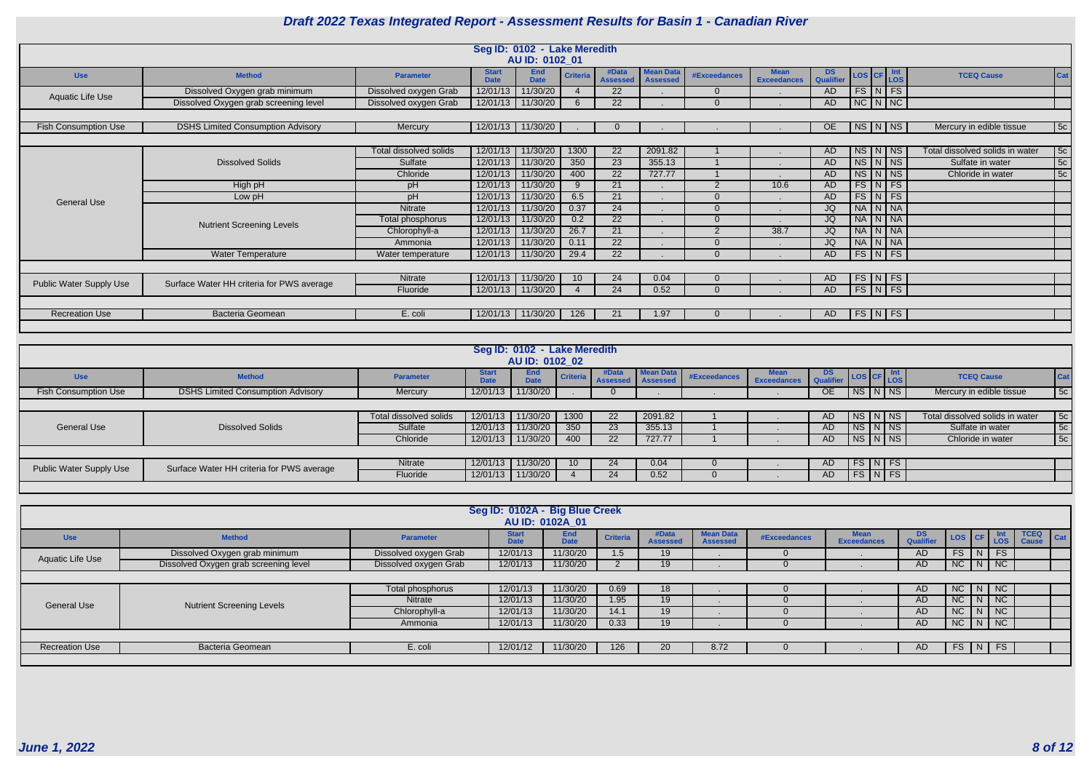|                                |                                           |                        |                             | Seg ID: 0102 - Lake Meredith<br>AU ID: 0102_01 |                 |                          |                                     |                     |                                   |                 |        |                      |                                 |            |
|--------------------------------|-------------------------------------------|------------------------|-----------------------------|------------------------------------------------|-----------------|--------------------------|-------------------------------------|---------------------|-----------------------------------|-----------------|--------|----------------------|---------------------------------|------------|
| <b>Use</b>                     | <b>Method</b>                             | <b>Parameter</b>       | <b>Start</b><br><b>Date</b> | <b>End</b><br><b>Date</b>                      | <b>Criteria</b> | #Data<br><b>Assessed</b> | <b>Mean Data</b><br><b>Assessed</b> | <b>#Exceedances</b> | <b>Mean</b><br><b>Exceedances</b> | DS<br>Qualifier | LOS CF | ∶   Int<br>│LOS      | <b>TCEQ Cause</b>               | <b>Cat</b> |
|                                | Dissolved Oxygen grab minimum             | Dissolved oxygen Grab  | 12/01/13                    | 11/30/20                                       |                 | 22                       |                                     | $\Omega$            |                                   | AD              |        | $FS\vert N \vert FS$ |                                 |            |
| Aquatic Life Use               | Dissolved Oxygen grab screening level     | Dissolved oxygen Grab  | 12/01/13                    | 11/30/20                                       | <b>6</b>        | 22                       |                                     | $\Omega$            |                                   | AD              |        | $NC$ $N$ $NC$        |                                 |            |
|                                |                                           |                        |                             |                                                |                 |                          |                                     |                     |                                   |                 |        |                      |                                 |            |
| <b>Fish Consumption Use</b>    | <b>DSHS Limited Consumption Advisory</b>  | Mercury                |                             | 12/01/13 11/30/20                              |                 |                          |                                     |                     |                                   | OE              |        | $N_S/N$ $NS$         | Mercury in edible tissue        | 5c         |
|                                |                                           |                        |                             |                                                |                 |                          |                                     |                     |                                   |                 |        |                      |                                 |            |
|                                |                                           | Total dissolved solids | 12/01/13                    | 11/30/20                                       | 1300            | 22                       | 2091.82                             |                     |                                   | AD              |        | $NS$ $N$ $NS$        | Total dissolved solids in water | 5c         |
|                                | <b>Dissolved Solids</b>                   | Sulfate                | 12/01/13                    | 11/30/20                                       | 350             | 23                       | 355.13                              |                     |                                   | AD              |        | $NS\vert N\vert NS$  | Sulfate in water                | 5c         |
|                                |                                           | Chloride               | 12/01/13                    | 11/30/20                                       | 400             | 22                       | 727.77                              |                     |                                   | <b>AD</b>       |        | $NS\vert N\vert NS$  | Chloride in water               | 5c         |
|                                | High pH                                   | pH                     | 12/01/13                    | 11/30/20                                       | <b>Q</b>        | 21                       |                                     | 2                   | 10.6                              | <b>AD</b>       |        | $FS\vert N \vert FS$ |                                 |            |
| <b>General Use</b>             | Low pH                                    | pH                     | 12/01/13                    | 11/30/20                                       | 6.5             | 21                       |                                     | $\Omega$            |                                   | AD              |        | $FS\vert N \vert FS$ |                                 |            |
|                                |                                           | Nitrate                | 12/01/13                    | 11/30/20                                       | 0.37            | 24                       |                                     | $\Omega$            |                                   | JQ              |        | NA N NA              |                                 |            |
|                                | <b>Nutrient Screening Levels</b>          | Total phosphorus       | 12/01/13                    | 11/30/20                                       | 0.2             | 22                       |                                     | $\Omega$            |                                   | JQ              |        | NA N NA              |                                 |            |
|                                |                                           | Chlorophyll-a          | 12/01/13                    | 11/30/20                                       | 26.7            | 21                       |                                     | 2                   | 38.7                              | JQ              |        | NA N NA              |                                 |            |
|                                |                                           | Ammonia                | 12/01/13                    | 11/30/20                                       | 0.11            | 22                       |                                     | $\Omega$            |                                   | JQ              |        | NA N NA              |                                 |            |
|                                | Water Temperature                         | Water temperature      | 12/01/13                    | 11/30/20                                       | 29.4            | $\overline{22}$          |                                     | $\Omega$            |                                   | AD              |        | $FS\vert N \vert FS$ |                                 |            |
|                                |                                           |                        |                             |                                                |                 |                          |                                     |                     |                                   |                 |        |                      |                                 |            |
| <b>Public Water Supply Use</b> | Surface Water HH criteria for PWS average | Nitrate                | 12/01/13                    | 11/30/20                                       | 10              | 24                       | 0.04                                | $\Omega$            |                                   | AD              |        | $FS\ NFS$            |                                 |            |
|                                |                                           | Fluoride               | 12/01/13                    | 11/30/20                                       |                 | 24                       | 0.52                                | $\Omega$            |                                   | AD              |        | FS N FS              |                                 |            |
|                                |                                           |                        |                             |                                                |                 |                          |                                     |                     |                                   |                 |        |                      |                                 |            |
| <b>Recreation Use</b>          | Bacteria Geomean                          | E. coli                | 12/01/13                    | 11/30/20                                       | 126             | 21                       | 1.97                                |                     |                                   | AD.             |        | $FS\ NFS$            |                                 |            |
|                                |                                           |                        |                             |                                                |                 |                          |                                     |                     |                                   |                 |        |                      |                                 |            |

|                             |                                           |                        |                                  | Seg ID: 0102 - Lake Meredith<br>AU ID: 0102 02 |                 |                          |                                     |              |                            |               |                         |  |  |                                 |            |
|-----------------------------|-------------------------------------------|------------------------|----------------------------------|------------------------------------------------|-----------------|--------------------------|-------------------------------------|--------------|----------------------------|---------------|-------------------------|--|--|---------------------------------|------------|
| <b>Use</b>                  | <b>Method</b>                             | <b>Parameter</b>       | Star <sup>*</sup><br><b>Date</b> | <b>End</b><br><b>Date</b>                      | Criteria        | #Data<br><b>Assessed</b> | <b>Mean Data</b><br><b>Assessed</b> | #Exceedances | <b>Mean</b><br>Exceedances | DS LOS CF Int |                         |  |  | <b>TCEQ Cause</b>               | <b>Cat</b> |
| <b>Fish Consumption Use</b> | <b>DSHS Limited Consumption Advisory</b>  | Mercury                | 12/01/13                         | 11/30/20                                       |                 |                          |                                     |              |                            | <b>OE</b>     | $N_S/N\ N_S$            |  |  | Mercury in edible tissue        | 5c         |
|                             |                                           |                        |                                  |                                                |                 |                          |                                     |              |                            |               |                         |  |  |                                 |            |
|                             |                                           | Total dissolved solids | 12/01/13                         | 11/30/20                                       | 1300            | 22                       | 2091.82                             |              |                            | AD            | NS   N   NS             |  |  | Total dissolved solids in water | 5c         |
| <b>General Use</b>          | <b>Dissolved Solids</b>                   | Sulfate                | 12/01/13                         | 11/30/20                                       | 350             | 23                       | 355.13                              |              |                            | <b>AD</b>     | NS   N   NS             |  |  | Sulfate in water                | 5c         |
|                             |                                           | Chloride               | 12/01/13                         | 11/30/20                                       | 400             | 22                       | 727.77                              |              |                            | <b>AD</b>     | NS N NS                 |  |  | Chloride in water               | 5c         |
|                             |                                           |                        |                                  |                                                |                 |                          |                                     |              |                            |               |                         |  |  |                                 |            |
| Public Water Supply Use     | Surface Water HH criteria for PWS average | Nitrate                | 12/01/13                         | 11/30/20                                       | 10 <sup>°</sup> | 24                       | 0.04                                |              |                            | AD.           | $FS\mid N \mid FS \mid$ |  |  |                                 |            |
|                             |                                           | Fluoride               | 12/01/13                         | 11/30/20                                       |                 | 24                       | 0.52                                |              |                            | <b>AD</b>     | $\sqrt{FS\ln FS }$      |  |  |                                 |            |
|                             |                                           |                        |                                  |                                                |                 |                          |                                     |              |                            |               |                         |  |  |                                 |            |

|                       |                                       |                       | Seg ID: 0102A - Big Blue Creek | AU ID: 0102A 01           |                 |                          |                              |              |                                   |                         |                                                            |                              |     |                                    |
|-----------------------|---------------------------------------|-----------------------|--------------------------------|---------------------------|-----------------|--------------------------|------------------------------|--------------|-----------------------------------|-------------------------|------------------------------------------------------------|------------------------------|-----|------------------------------------|
| <b>Use</b>            | <b>Method</b>                         | <b>Parameter</b>      | <b>Start</b><br><b>Date</b>    | <b>End</b><br><b>Date</b> | <b>Criteria</b> | #Data<br><b>Assessed</b> | lean Data<br><b>Assessed</b> | #Exceedances | <b>lean</b><br><b>Exceedances</b> | DS.<br><b>Qualifier</b> | $\left  \text{Los} \right $ CF $\left  \text{Los} \right $ |                              |     | <b>TCEQ</b><br>Cat<br><b>Cause</b> |
| Aquatic Life Use      | Dissolved Oxygen grab minimum         | Dissolved oxygen Grab | 12/01/13                       | 11/30/20                  | 1.5             | 19                       |                              |              |                                   | AD                      | <b>FS</b>                                                  | N.                           | FS  |                                    |
|                       | Dissolved Oxygen grab screening level | Dissolved oxygen Grab | 12/01/13                       | 11/30/20                  |                 | 19                       |                              |              |                                   | AD                      | $NC$ $N$ $NC$                                              |                              |     |                                    |
|                       |                                       |                       |                                |                           |                 |                          |                              |              |                                   |                         |                                                            |                              |     |                                    |
|                       |                                       | Total phosphorus      | 12/01/13                       | 11/30/20                  | 0.69            | 18                       |                              |              |                                   | AD.                     | $NC$ $N$ $NC$                                              |                              |     |                                    |
| <b>General Use</b>    | <b>Nutrient Screening Levels</b>      | Nitrate               | 12/01/13                       | 11/30/20                  | 1.95            | 19 <sup>°</sup>          |                              |              |                                   | AD.                     | NC                                                         | $\vert$ N $\vert$ NC $\vert$ |     |                                    |
|                       |                                       | Chlorophyll-a         | 12/01/13                       | 11/30/20                  | 14.1            | 19                       |                              |              |                                   | AD.                     | NC                                                         | $\mathsf{N}$                 | NC  |                                    |
|                       |                                       | Ammonia               | 12/01/13                       | 11/30/20                  | 0.33            | 19                       |                              |              |                                   | AD                      | NC N NC                                                    |                              |     |                                    |
|                       |                                       |                       |                                |                           |                 |                          |                              |              |                                   |                         |                                                            |                              |     |                                    |
| <b>Recreation Use</b> | Bacteria Geomean                      | E. coli               | 12/01/12                       | 11/30/20                  | 126             | 20                       | 8.72                         |              |                                   | AD                      | FS                                                         | N                            | FST |                                    |
|                       |                                       |                       |                                |                           |                 |                          |                              |              |                                   |                         |                                                            |                              |     |                                    |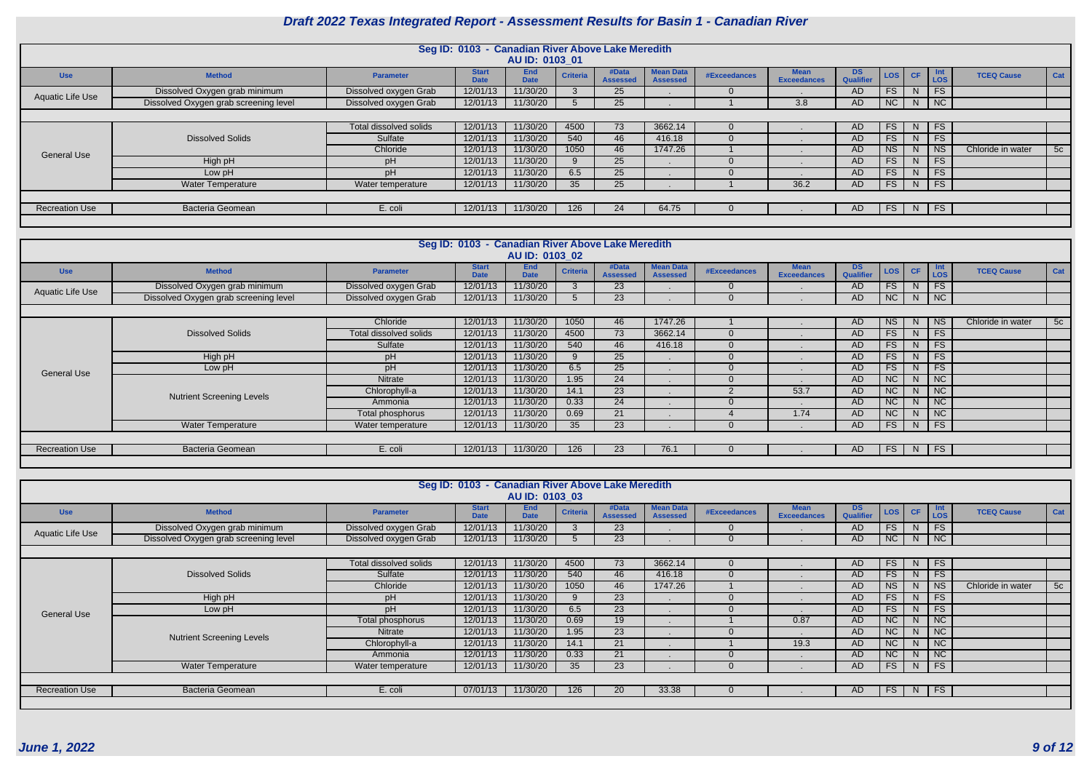|                       |                                       |                        | Seg ID: 0103 - Canadian River Above Lake Meredith | AU ID: 0103 01            |                 |                          |                                     |                     |                                   |                        |                 |              |                          |                   |     |
|-----------------------|---------------------------------------|------------------------|---------------------------------------------------|---------------------------|-----------------|--------------------------|-------------------------------------|---------------------|-----------------------------------|------------------------|-----------------|--------------|--------------------------|-------------------|-----|
| <b>Use</b>            | <b>Method</b>                         | <b>Parameter</b>       | <b>Start</b><br><b>Date</b>                       | <b>End</b><br><b>Date</b> | <b>Criteria</b> | #Data<br><b>Assessed</b> | <b>Mean Data</b><br><b>Assessed</b> | <b>#Exceedances</b> | <b>Mean</b><br><b>Exceedances</b> | DS<br><b>Qualifier</b> | LOS             | <b>CF</b>    | <b>Int</b><br><b>LOS</b> | <b>TCEQ Cause</b> | Cat |
| Aquatic Life Use      | Dissolved Oxygen grab minimum         | Dissolved oxygen Grab  | 12/01/13                                          | 11/30/20                  |                 | 25                       |                                     | $\Omega$            |                                   | AD                     | FS.             | -N           | <b>FS</b>                |                   |     |
|                       | Dissolved Oxygen grab screening level | Dissolved oxygen Grab  | 12/01/13                                          | 11/30/20                  |                 | 25                       |                                     |                     | 3.8                               | AD                     | NC              | N            | $\mid$ NC                |                   |     |
|                       |                                       |                        |                                                   |                           |                 |                          |                                     |                     |                                   |                        |                 |              |                          |                   |     |
|                       |                                       | Total dissolved solids | 12/01/13                                          | 11/30/20                  | 4500            | 73                       | 3662.14                             | $\Omega$            |                                   | AD.                    | FS              | <sup>N</sup> | <b>FS</b>                |                   |     |
|                       | <b>Dissolved Solids</b>               | Sulfate                | 12/01/13                                          | 11/30/20                  | 540             | 46                       | 416.18                              | $\Omega$            |                                   | AD.                    | FS              | -N           | <b>FS</b>                |                   |     |
| <b>General Use</b>    |                                       | Chloride               | 12/01/13                                          | 11/30/20                  | 1050            | 46                       | 1747.26                             |                     |                                   | AD.                    | <b>NS</b>       | -N           | <b>NS</b>                | Chloride in water | 5c  |
|                       | High pH                               | pH                     | 12/01/13                                          | 11/30/20                  |                 | 25                       |                                     | $\Omega$            |                                   | <b>AD</b>              | FS <sub>1</sub> | -N           | <b>FS</b>                |                   |     |
|                       | Low pH                                | pH                     | 12/01/13                                          | 11/30/20                  | 6.5             | 25                       |                                     | $\Omega$            |                                   | <b>AD</b>              | FS              | $\mathsf{N}$ | <b>FS</b>                |                   |     |
|                       | <b>Water Temperature</b>              | Water temperature      | 12/01/13                                          | 11/30/20                  | 35              | 25                       |                                     |                     | 36.2                              | AD.                    | <b>FS</b>       |              | $N$   FS                 |                   |     |
|                       |                                       |                        |                                                   |                           |                 |                          |                                     |                     |                                   |                        |                 |              |                          |                   |     |
| <b>Recreation Use</b> | <b>Bacteria Geomean</b>               | E. coli                | 12/01/13                                          | 11/30/20                  | 126             | 24                       | 64.75                               | 0                   |                                   | AD                     | FS              |              | $N$ FS                   |                   |     |
|                       |                                       |                        |                                                   |                           |                 |                          |                                     |                     |                                   |                        |                 |              |                          |                   |     |

|                       |                                       |                        | Seg ID: 0103 - Canadian River Above Lake Meredith |                           |                 |                          |                                     |                     |                            |                               |                              |                |                   |                   |     |
|-----------------------|---------------------------------------|------------------------|---------------------------------------------------|---------------------------|-----------------|--------------------------|-------------------------------------|---------------------|----------------------------|-------------------------------|------------------------------|----------------|-------------------|-------------------|-----|
|                       |                                       |                        |                                                   | AU ID: 0103 02            |                 |                          |                                     |                     |                            |                               |                              |                |                   |                   |     |
| <b>Use</b>            | <b>Method</b>                         | <b>Parameter</b>       | <b>Start</b><br><b>Date</b>                       | <b>End</b><br><b>Date</b> | <b>Criteria</b> | #Data<br><b>Assessed</b> | <b>Mean Data</b><br><b>Assessed</b> | <b>#Exceedances</b> | Mean<br><b>Exceedances</b> | <b>DS</b><br><b>Qualifier</b> | $\textsf{LOS}$ $\textsf{CF}$ |                | <b>Int</b><br>LOS | <b>TCEQ Cause</b> | Cat |
| Aquatic Life Use      | Dissolved Oxygen grab minimum         | Dissolved oxygen Grab  | 12/01/13                                          | 11/30/20                  |                 | 23                       |                                     | $\Omega$            |                            | AD                            | FS.                          | N.             | FS                |                   |     |
|                       | Dissolved Oxygen grab screening level | Dissolved oxygen Grab  | 12/01/13                                          | 11/30/20                  |                 | 23                       |                                     | $\Omega$            |                            | AD                            | NC                           |                | $N$ NC            |                   |     |
|                       |                                       |                        |                                                   |                           |                 |                          |                                     |                     |                            |                               |                              |                |                   |                   |     |
|                       |                                       | Chloride               | 12/01/13                                          | 11/30/20                  | 1050            | 46                       | 1747.26                             |                     |                            | <b>AD</b>                     | <b>NS</b>                    | N <sub>1</sub> | <b>NS</b>         | Chloride in water | 5c  |
|                       | <b>Dissolved Solids</b>               | Total dissolved solids | 12/01/13                                          | 11/30/20                  | 4500            | 73                       | 3662.14                             | $\Omega$            |                            | <b>AD</b>                     | FS                           | N <sub>1</sub> | FS                |                   |     |
|                       |                                       | Sulfate                | 12/01/13                                          | 11/30/20                  | 540             | 46                       | 416.18                              | $\overline{0}$      |                            | <b>AD</b>                     | FS                           | N <sub>1</sub> | FS                |                   |     |
|                       | High pH                               | pH                     | 12/01/13                                          | 11/30/20                  |                 | 25                       |                                     | $\Omega$            |                            | AD                            | FS                           | N              | FS                |                   |     |
| General Use           | Low pH                                | pH                     | 12/01/13                                          | 11/30/20                  | 6.5             | 25                       |                                     | $\Omega$            |                            | <b>AD</b>                     | FS                           | <sup>N</sup>   | <b>FS</b>         |                   |     |
|                       |                                       | Nitrate                | 12/01/13                                          | 11/30/20                  | 1.95            | 24                       |                                     | $\Omega$            |                            | AD                            | NC                           | N              | NC                |                   |     |
|                       | <b>Nutrient Screening Levels</b>      | Chlorophyll-a          | 12/01/13                                          | 11/30/20                  | 14.1            | 23                       |                                     | 2                   | 53.7                       | <b>AD</b>                     | NC                           | N <sub>1</sub> | NC                |                   |     |
|                       |                                       | Ammonia                | 12/01/13                                          | 11/30/20                  | 0.33            | 24                       |                                     | $\Omega$            |                            | AD.                           | NC                           | N              | NC                |                   |     |
|                       |                                       | Total phosphorus       | 12/01/13                                          | 11/30/20                  | 0.69            | 21                       |                                     |                     | 1.74                       | <b>AD</b>                     | NC .                         | <sup>N</sup>   | NC                |                   |     |
|                       | <b>Water Temperature</b>              | Water temperature      | 12/01/13                                          | 11/30/20                  | 35              | 23                       |                                     | $\Omega$            |                            | AD                            | FS                           | N              | FS                |                   |     |
|                       |                                       |                        |                                                   |                           |                 |                          |                                     |                     |                            |                               |                              |                |                   |                   |     |
| <b>Recreation Use</b> | Bacteria Geomean                      | E. coli                | 12/01/13                                          | 11/30/20                  | 126             | 23                       | 76.1                                | $\Omega$            |                            | AD                            | $FS$ $N$ $FS$                |                |                   |                   |     |
|                       |                                       |                        |                                                   |                           |                 |                          |                                     |                     |                            |                               |                              |                |                   |                   |     |

|                         |                                       |                        | Seg ID: 0103 - Canadian River Above Lake Meredith | AU ID: 0103 03            |                 |                          |                                     |                     |                                   |                               |                |              |                 |                   |     |
|-------------------------|---------------------------------------|------------------------|---------------------------------------------------|---------------------------|-----------------|--------------------------|-------------------------------------|---------------------|-----------------------------------|-------------------------------|----------------|--------------|-----------------|-------------------|-----|
| <b>Use</b>              | <b>Method</b>                         | <b>Parameter</b>       | <b>Start</b><br><b>Date</b>                       | <b>End</b><br><b>Date</b> | <b>Criteria</b> | #Data<br><b>Assessed</b> | <b>Mean Data</b><br><b>Assessed</b> | <b>#Exceedances</b> | <b>Mean</b><br><b>Exceedances</b> | <b>DS</b><br><b>Qualifier</b> | $\textsf{LOS}$ | <b>CF</b>    | Int<br>LOS      | <b>TCEQ Cause</b> | Cat |
| <b>Aquatic Life Use</b> | Dissolved Oxygen grab minimum         | Dissolved oxygen Grab  | 12/01/13                                          | 11/30/20                  |                 | 23                       |                                     | $\overline{0}$      |                                   | AD.                           | FS             | <sup>N</sup> | <b>FS</b>       |                   |     |
|                         | Dissolved Oxygen grab screening level | Dissolved oxygen Grab  | 12/01/13                                          | 11/30/20                  |                 | 23                       |                                     | $\Omega$            |                                   | <b>AD</b>                     | NC             |              | $N$   NC        |                   |     |
|                         |                                       |                        |                                                   |                           |                 |                          |                                     |                     |                                   |                               |                |              |                 |                   |     |
|                         |                                       | Total dissolved solids | 12/01/13                                          | 11/30/20                  | 4500            | 73                       | 3662.14                             | $\overline{0}$      |                                   | <b>AD</b>                     | FS             | N.           | FS              |                   |     |
|                         | <b>Dissolved Solids</b>               | Sulfate                | 12/01/13                                          | 11/30/20                  | 540             | 46                       | 416.18                              | $\overline{0}$      |                                   | AD                            | FS .           | <sup>N</sup> | FS              |                   |     |
|                         |                                       | Chloride               | 12/01/13                                          | 11/30/20                  | 1050            | 46                       | 1747.26                             |                     |                                   | <b>AD</b>                     | <b>NS</b>      | N            | <b>NS</b>       | Chloride in water | 5c  |
|                         | High pH                               | pH                     | 12/01/13                                          | 11/30/20                  | 9               | 23                       |                                     | $\overline{0}$      |                                   | <b>AD</b>                     | FS.            | N.           | <b>FS</b>       |                   |     |
| <b>General Use</b>      | Low pH                                | pH                     | 12/01/13                                          | 11/30/20                  | 6.5             | 23                       |                                     | $\Omega$            |                                   | <b>AD</b>                     | FS .           | <sup>N</sup> | FS              |                   |     |
|                         |                                       | Total phosphorus       | 12/01/13                                          | 11/30/20                  | 0.69            | 19                       |                                     |                     | 0.87                              | <b>AD</b>                     | NC             | N            | <b>NC</b>       |                   |     |
|                         | <b>Nutrient Screening Levels</b>      | Nitrate                | 12/01/13                                          | 11/30/20                  | 1.95            | 23                       |                                     | $\Omega$            |                                   | <b>AD</b>                     | NC             | N            | NC              |                   |     |
|                         |                                       | Chlorophyll-a          | 12/01/13                                          | 11/30/20                  | 14.1            | 21                       |                                     |                     | 19.3                              | <b>AD</b>                     | NC             | N            | $\overline{NC}$ |                   |     |
|                         |                                       | Ammonia                | 12/01/13                                          | 11/30/20                  | 0.33            | 21                       |                                     | $\Omega$            |                                   | <b>AD</b>                     | NC             | N            | $\overline{NC}$ |                   |     |
|                         | <b>Water Temperature</b>              | Water temperature      | 12/01/13                                          | 11/30/20                  | 35              | 23                       |                                     | $\Omega$            |                                   | <b>AD</b>                     | <b>FS</b>      | N            | FS              |                   |     |
|                         |                                       |                        |                                                   |                           |                 |                          |                                     |                     |                                   |                               |                |              |                 |                   |     |
| <b>Recreation Use</b>   | Bacteria Geomean                      | E. coli                | 07/01/13                                          | 11/30/20                  | 126             | 20                       | 33.38                               | $\Omega$            |                                   | AD <sup>-</sup>               | FS             | N.           | FS              |                   |     |
|                         |                                       |                        |                                                   |                           |                 |                          |                                     |                     |                                   |                               |                |              |                 |                   |     |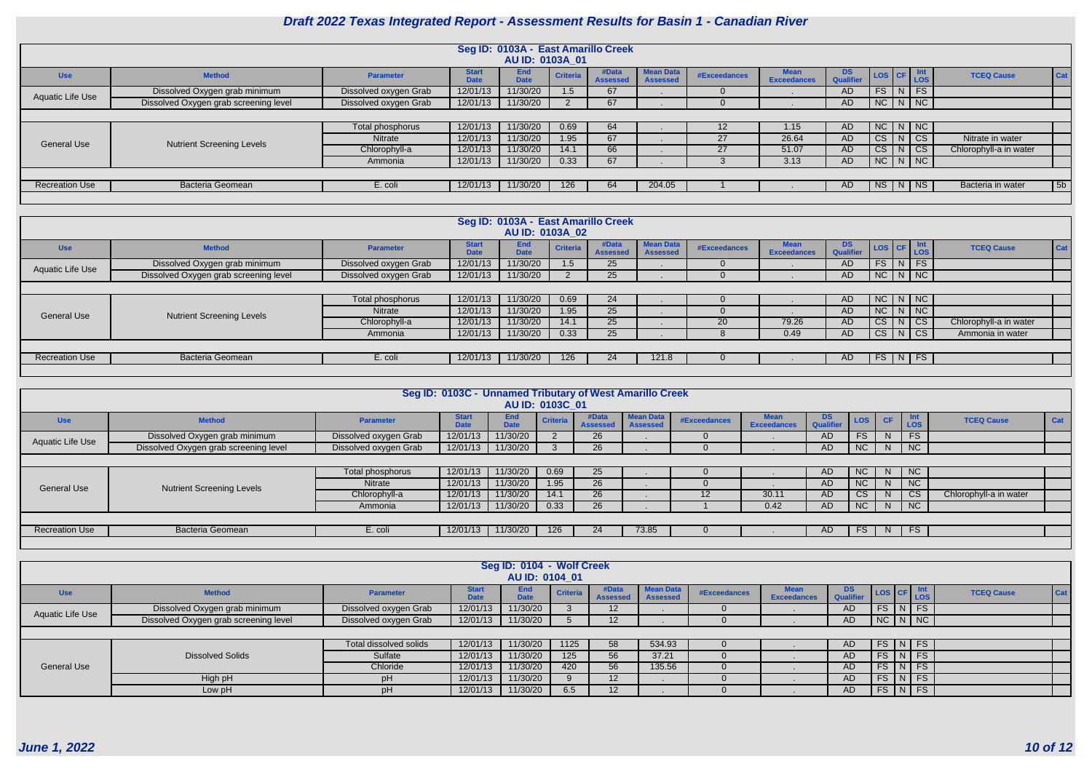|                       |                                       |                       |                             | Seg ID: 0103A - East Amarillo Creek<br>AU ID: 0103A 01 |                 |                         |                                     |                     |                                   |                        |               |  |                             |                        |     |
|-----------------------|---------------------------------------|-----------------------|-----------------------------|--------------------------------------------------------|-----------------|-------------------------|-------------------------------------|---------------------|-----------------------------------|------------------------|---------------|--|-----------------------------|------------------------|-----|
| <b>Use</b>            | <b>Method</b>                         | <b>Parameter</b>      | <b>Start</b><br><b>Date</b> | <b>End</b><br><b>Date</b>                              | <b>Criteria</b> | #Data<br><b>Assesse</b> | <b>Mean Data</b><br><b>Assessed</b> | <b>#Exceedances</b> | <b>Mean</b><br><b>Exceedances</b> | <b>DS</b><br>Qualifier | LOS CF Int    |  |                             | <b>TCEQ Cause</b>      | Cat |
| Aquatic Life Use      | Dissolved Oxygen grab minimum         | Dissolved oxygen Grab | 12/01/13                    | 11/30/20                                               | 1.5             | 67                      |                                     |                     |                                   | AD.                    | $FS$ $N$ $FS$ |  |                             |                        |     |
|                       | Dissolved Oxygen grab screening level | Dissolved oxygen Grab | 12/01/13                    | 11/30/20                                               |                 | 67                      |                                     |                     |                                   | AD                     | $NC$ $N$ $NC$ |  |                             |                        |     |
|                       |                                       |                       |                             |                                                        |                 |                         |                                     |                     |                                   |                        |               |  |                             |                        |     |
|                       |                                       | Total phosphorus      | 12/01/13                    | 11/30/20                                               | 0.69            | 64                      |                                     | $12 \overline{ }$   | 1.15 <sub>1</sub>                 | AD.                    | $NC$ $N$ $NC$ |  |                             |                        |     |
| <b>General Use</b>    | <b>Nutrient Screening Levels</b>      | <b>Nitrate</b>        | 12/01/13                    | 11/30/20                                               | 1.95            | 67                      |                                     | 27                  | 26.64                             | AD                     | CS            |  | $\overline{\phantom{a}}$ CS | Nitrate in water       |     |
|                       |                                       | Chlorophyll-a         | 12/01/13                    | 11/30/20                                               | 14.1            | 66                      |                                     | 27                  | 51.07                             | AD.                    | CS            |  | $\vert$ CS                  | Chlorophyll-a in water |     |
|                       |                                       | Ammonia               | 12/01/13                    | 11/30/20                                               | 0.33            | 67                      |                                     |                     | 3.13                              | AD                     | $N$ C $N$ $N$ |  |                             |                        |     |
|                       |                                       |                       |                             |                                                        |                 |                         |                                     |                     |                                   |                        |               |  |                             |                        |     |
| <b>Recreation Use</b> | <b>Bacteria Geomean</b>               | E. coli               | 12/01/13                    | 11/30/20                                               | 126             | 64                      | 204.05                              |                     |                                   | AD.                    | NS N NS       |  |                             | Bacteria in water      | 5b  |
|                       |                                       |                       |                             |                                                        |                 |                         |                                     |                     |                                   |                        |               |  |                             |                        |     |

|                       |                                       |                       |                             | Seg ID: 0103A - East Amarillo Creek<br>AU ID: 0103A 02 |                 |                          |                                     |              |                                   |                         |                                    |   |               |                          |
|-----------------------|---------------------------------------|-----------------------|-----------------------------|--------------------------------------------------------|-----------------|--------------------------|-------------------------------------|--------------|-----------------------------------|-------------------------|------------------------------------|---|---------------|--------------------------|
| <b>Use</b>            | <b>Method</b>                         | <b>Parameter</b>      | <b>Start</b><br><b>Date</b> | <b>End</b><br><b>Date</b>                              | <b>Criteria</b> | #Data<br><b>Assessed</b> | <b>Mean Data</b><br><b>Assessed</b> | #Exceedances | <b>Mean</b><br><b>Exceedances</b> | DS.<br><b>Qualifier</b> | $\vert$ LOS $\vert$ CF $\vert$ LOS |   | <b>Int</b>    | Cat<br><b>TCEQ Cause</b> |
| Aquatic Life Use      | Dissolved Oxygen grab minimum         | Dissolved oxygen Grab | 12/01/13                    | 11/30/20                                               | $1.5\,$         | 25                       |                                     |              |                                   | AD.                     | FS                                 | N | <b>FS</b>     |                          |
|                       | Dissolved Oxygen grab screening level | Dissolved oxygen Grab | 12/01/13                    | 11/30/20                                               |                 | 25                       |                                     |              |                                   | AD.                     |                                    |   | $NC$   N   NC |                          |
|                       |                                       |                       |                             |                                                        |                 |                          |                                     |              |                                   |                         |                                    |   |               |                          |
|                       |                                       | Total phosphorus      | 12/01/13                    | 11/30/20                                               | 0.69            | 24                       |                                     |              |                                   | AD.                     |                                    |   | $NC$ $N$ $NC$ |                          |
| <b>General Use</b>    | <b>Nutrient Screening Levels</b>      | Nitrate               | 12/01/13                    | 11/30/20                                               | 1.95            | 25                       |                                     |              |                                   | AD.                     |                                    |   | $NC$ $N$ $NC$ |                          |
|                       |                                       | Chlorophyll-a         | 12/01/13                    | 11/30/20                                               | 14.1            | 25                       |                                     | 20           | 79.26                             | AD.                     |                                    |   | $CS$ $N$ $CS$ | Chlorophyll-a in water   |
|                       |                                       | Ammonia               | 12/01/13                    | 11/30/20                                               | 0.33            | 25                       |                                     |              | 0.49                              | AD                      |                                    |   | $CS$ $N$ $CS$ | Ammonia in water         |
|                       |                                       |                       |                             |                                                        |                 |                          |                                     |              |                                   |                         |                                    |   |               |                          |
| <b>Recreation Use</b> | <b>Bacteria Geomean</b>               | E. coli               | 12/01/13                    | 11/30/20                                               | 126             | 24                       | 121.8                               |              |                                   | AD.                     |                                    |   | $FS$ N FS     |                          |
|                       |                                       |                       |                             |                                                        |                 |                          |                                     |              |                                   |                         |                                    |   |               |                          |

|                       |                                       |                       | Seg ID: 0103C - Unnamed Tributary of West Amarillo Creek |                    | AU ID: 0103C 01 |                          |                                     |              |                                   |                         |           |              |                   |                        |     |
|-----------------------|---------------------------------------|-----------------------|----------------------------------------------------------|--------------------|-----------------|--------------------------|-------------------------------------|--------------|-----------------------------------|-------------------------|-----------|--------------|-------------------|------------------------|-----|
| <b>Use</b>            | <b>Method</b>                         | <b>Parameter</b>      | <b>Start</b><br><b>Date</b>                              | End<br><b>Date</b> | <b>Criteria</b> | #Data<br><b>Assessed</b> | <b>Mean Data</b><br><b>Assessed</b> | #Exceedances | <b>Mean</b><br><b>Exceedances</b> | DS.<br><b>Qualifier</b> | LOS       | <b>CF</b>    | <b>Int</b><br>LOS | <b>TCEQ Cause</b>      | Cat |
| Aquatic Life Use      | Dissolved Oxygen grab minimum         | Dissolved oxygen Grab | 12/01/13                                                 | 11/30/20           |                 | 26                       |                                     |              |                                   | <b>AD</b>               | FS        | N            | FS                |                        |     |
|                       | Dissolved Oxygen grab screening level | Dissolved oxygen Grab | 12/01/13                                                 | 11/30/20           |                 | 26                       |                                     |              |                                   | AD.                     | NC        | N.           | NC                |                        |     |
|                       |                                       |                       |                                                          |                    |                 |                          |                                     |              |                                   |                         |           |              |                   |                        |     |
|                       |                                       | Total phosphorus      | 12/01/13                                                 | 11/30/20           | 0.69            | 25                       |                                     |              |                                   | <b>AD</b>               | NC        | N.           | NC                |                        |     |
| <b>General Use</b>    | <b>Nutrient Screening Levels</b>      | Nitrate               | 12/01/13                                                 | 11/30/20           | 1.95            | 26                       |                                     |              |                                   | <b>AD</b>               | NC        |              | NC                |                        |     |
|                       |                                       | Chlorophyll-a         | 12/01/13                                                 | 11/30/20           | 14.1            | 26 <sup>1</sup>          |                                     | 12           | 30.11                             | <b>AD</b>               | <b>CS</b> | <sub>N</sub> | <b>CS</b>         | Chlorophyll-a in water |     |
|                       |                                       | Ammonia               | 12/01/13                                                 | 11/30/20           | 0.33            | 26                       |                                     |              | 0.42                              | <b>AD</b>               | NC        | N            | NC                |                        |     |
|                       |                                       |                       |                                                          |                    |                 |                          |                                     |              |                                   |                         |           |              |                   |                        |     |
| <b>Recreation Use</b> | <b>Bacteria Geomean</b>               | E. coli               | 12/01/13                                                 | 11/30/20           | 126             | 24                       | 73.85                               |              |                                   | AD.                     | FS.       |              | $N$ FS            |                        |     |
|                       |                                       |                       |                                                          |                    |                 |                          |                                     |              |                                   |                         |           |              |                   |                        |     |

|                    |                                       |                               |                             | Seg ID: 0104 - Wolf Creek<br>AU ID: 0104 01 |                 |                         |                                     |              |                    |                 |                    |  |        |                          |  |
|--------------------|---------------------------------------|-------------------------------|-----------------------------|---------------------------------------------|-----------------|-------------------------|-------------------------------------|--------------|--------------------|-----------------|--------------------|--|--------|--------------------------|--|
| <b>Use</b>         | <b>Method</b>                         | <b>Parameter</b>              | <b>Start</b><br><b>Date</b> | <b>End</b><br><b>Date</b>                   | <b>Criteria</b> | #Data<br><b>Assesse</b> | <b>Mean Data</b><br><b>Assessed</b> | #Exceedances | <b>Exceedances</b> | DS<br>Qualifier | LOS CF Int         |  |        | <b>TCEQ Cause</b><br>Cat |  |
| Aquatic Life Use   | Dissolved Oxygen grab minimum         | Dissolved oxygen Grab         | 12/01/13                    | 11/30/20                                    |                 | 12                      |                                     |              |                    | AD              | $FS\mid N \mid FS$ |  |        |                          |  |
|                    | Dissolved Oxygen grab screening level | Dissolved oxygen Grab         | 12/01/13                    | 11/30/20                                    |                 | 12                      |                                     |              |                    | AD              |                    |  |        |                          |  |
|                    | $NC\ N\ N$                            |                               |                             |                                             |                 |                         |                                     |              |                    |                 |                    |  |        |                          |  |
|                    |                                       | <b>Total dissolved solids</b> | 12/01/13                    | 11/30/20                                    | 1125            | 58                      | 534.93                              |              |                    | AD              | $\sqrt{FS\ N\ FS}$ |  |        |                          |  |
|                    | <b>Dissolved Solids</b>               | Sulfate                       | 12/01/13                    | 11/30/20                                    | 125             | 56                      | 37.21                               |              |                    | AD              | $FS\mid N \mid FS$ |  |        |                          |  |
| <b>General Use</b> |                                       | Chloride                      | 12/01/13                    | 11/30/20                                    | 420             | 56                      | 135.56                              |              |                    | AD              | <b>FS</b>          |  | $N$ FS |                          |  |
|                    | High pH                               | pН                            | 12/01/13                    | 11/30/20                                    | $\Omega$        | 12 <sup>2</sup>         |                                     |              |                    | AD              | $FS\mid N \mid FS$ |  |        |                          |  |
|                    | Low pH                                | рH                            | 12/01/13                    | 11/30/20                                    | 6.5             | 12                      |                                     |              |                    | AD              | FS N FS            |  |        |                          |  |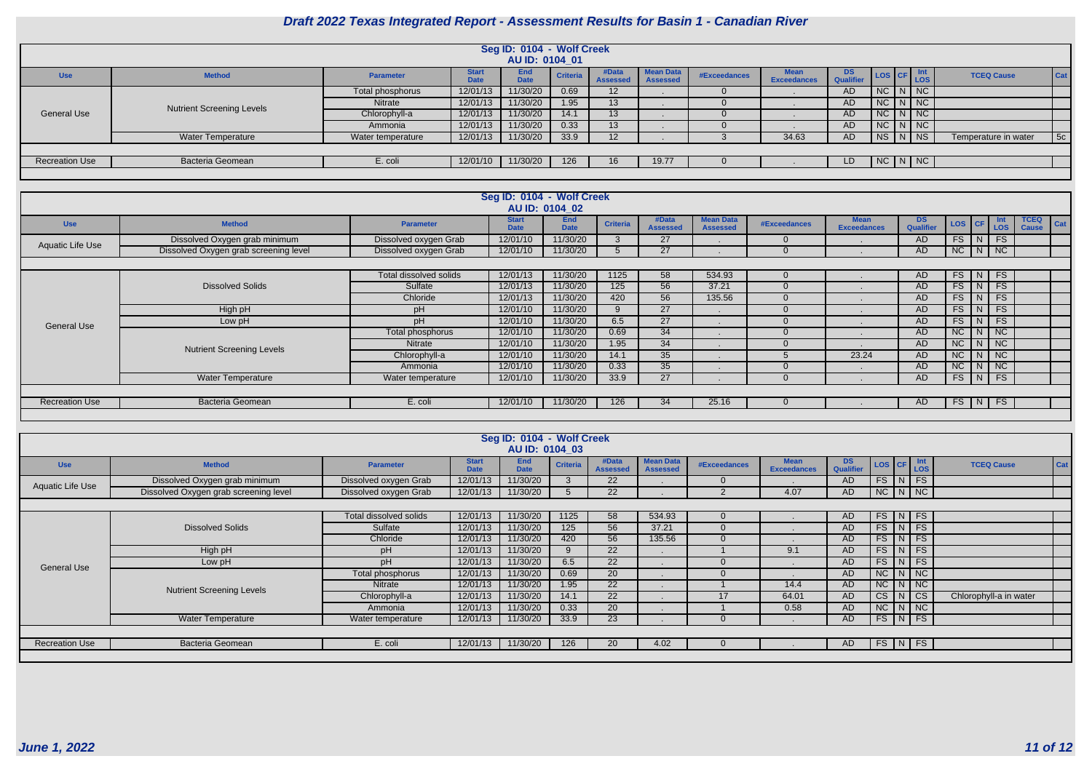|                       |                                  |                   |                             | Seg ID: 0104 - Wolf Creek<br>AU ID: 0104 01 |                 |                          |                                     |              |                    |                               |               |  |                      |     |
|-----------------------|----------------------------------|-------------------|-----------------------------|---------------------------------------------|-----------------|--------------------------|-------------------------------------|--------------|--------------------|-------------------------------|---------------|--|----------------------|-----|
| <b>Use</b>            | <b>Method</b>                    | <b>Parameter</b>  | <b>Start</b><br><b>Date</b> | <b>End</b><br><b>Date</b>                   | <b>Criteria</b> | #Data<br><b>Assessed</b> | <b>Mean Data</b><br><b>Assessed</b> | #Exceedances | <b>Exceedances</b> | <b>DS</b><br><b>Qualifier</b> | LOS CF Int    |  | <b>TCEQ Cause</b>    | Cat |
|                       |                                  | Total phosphorus  | 12/01/13                    | 11/30/20                                    | 0.69            | 12                       |                                     |              |                    | AD                            | $NC$ $N$ $NC$ |  |                      |     |
|                       | <b>Nutrient Screening Levels</b> | Nitrate           | 12/01/13                    | 11/30/20                                    | 1.95            | 13                       |                                     |              |                    | AD                            | $N$ C $N$ $N$ |  |                      |     |
| <b>General Use</b>    |                                  | Chlorophyll-a     | 12/01/13                    | 11/30/20                                    | 14.1            | 13                       |                                     |              |                    | AD                            | $N$ C $N$ $N$ |  |                      |     |
|                       |                                  | Ammonia           | 12/01/13                    | 11/30/20                                    | 0.33            | 13                       |                                     |              |                    | AD                            | $NC$ $N$ $NC$ |  |                      |     |
|                       | Water Temperature                | Water temperature | 12/01/13                    | 11/30/20                                    | 33.9            | 12                       |                                     |              | 34.63              | AD                            | NS   N   NS   |  | Temperature in water | 5c  |
|                       |                                  |                   |                             |                                             |                 |                          |                                     |              |                    |                               |               |  |                      |     |
| <b>Recreation Use</b> | <b>Bacteria Geomean</b>          | E. coli           | 12/01/10                    | 11/30/20                                    | 126             | 16 <sup>2</sup>          | 19.77                               |              |                    | LD                            | $N$ C $N$ $N$ |  |                      |     |
|                       |                                  |                   |                             |                                             |                 |                          |                                     |              |                    |                               |               |  |                      |     |

|                         | Seg ID: 0104 - Wolf Creek<br>AU ID: 0104 02 |                        |                             |                           |                 |                          |                                     |                     |                                   |                               |               |                  |                             |                                    |
|-------------------------|---------------------------------------------|------------------------|-----------------------------|---------------------------|-----------------|--------------------------|-------------------------------------|---------------------|-----------------------------------|-------------------------------|---------------|------------------|-----------------------------|------------------------------------|
| <b>Use</b>              | <b>Method</b>                               | <b>Parameter</b>       | <b>Start</b><br><b>Date</b> | <b>End</b><br><b>Date</b> | <b>Criteria</b> | #Data<br><b>Assessed</b> | <b>Mean Data</b><br><b>Assessed</b> | <b>#Exceedances</b> | <b>Mean</b><br><b>Exceedances</b> | <b>DS</b><br><b>Qualifier</b> | LOS CF        |                  | <b>Int</b><br>Los           | <b>TCEQ</b><br>Cat<br><b>Cause</b> |
| <b>Aquatic Life Use</b> | Dissolved Oxygen grab minimum               | Dissolved oxygen Grab  | 12/01/10                    | 11/30/20                  |                 | 27                       |                                     |                     |                                   | AD                            | FS            | N                | FS                          |                                    |
|                         | Dissolved Oxygen grab screening level       | Dissolved oxygen Grab  | 12/01/10                    | 11/30/20                  |                 | 27                       |                                     |                     |                                   | AD                            | $NC$ $N$ $NC$ |                  |                             |                                    |
|                         |                                             |                        |                             |                           |                 |                          |                                     |                     |                                   |                               |               |                  |                             |                                    |
|                         |                                             | Total dissolved solids | 12/01/13                    | 11/30/20                  | 1125            | 58                       | 534.93                              |                     |                                   | AD                            | FS            | $\blacksquare$ N | FS                          |                                    |
|                         | <b>Dissolved Solids</b>                     | Sulfate                | 12/01/13                    | 11/30/20                  | 125             | 56                       | 37.21                               |                     |                                   | AD                            | FS            | IN.              | <b>FS</b>                   |                                    |
|                         |                                             | Chloride               | 12/01/13                    | 11/30/20                  | 420             | 56                       | 135.56                              |                     |                                   | AD                            | FS            | N                | <b>FS</b>                   |                                    |
|                         | High pH                                     | pH                     | 12/01/10                    | 11/30/20                  | 9               | 27                       |                                     |                     |                                   | AD                            | FS            | N.               | <b>FS</b>                   |                                    |
| <b>General Use</b>      | Low pH                                      | pH                     | 12/01/10                    | 11/30/20                  | 6.5             | 27                       |                                     |                     |                                   | <b>AD</b>                     | FS            |                  | <b>FS</b>                   |                                    |
|                         |                                             | Total phosphorus       | 12/01/10                    | 11/30/20                  | 0.69            | 34                       |                                     |                     |                                   | AD                            | NC            | N                | $\overline{\phantom{a}}$ NC |                                    |
|                         | <b>Nutrient Screening Levels</b>            | Nitrate                | 12/01/10                    | 11/30/20                  | 1.95            | 34                       |                                     |                     |                                   | <b>AD</b>                     | <b>NC</b>     |                  | $\vert$ N $\vert$ NC        |                                    |
|                         |                                             | Chlorophyll-a          | 12/01/10                    | 11/30/20                  | 14.1            | 35                       |                                     |                     | 23.24                             | AD                            | NC            | N                | $\overline{\phantom{a}}$ NC |                                    |
|                         |                                             | Ammonia                | 12/01/10                    | 11/30/20                  | 0.33            | 35                       |                                     |                     |                                   | AD                            | NC            | N                | NC                          |                                    |
|                         | <b>Water Temperature</b>                    | Water temperature      | 12/01/10                    | 11/30/20                  | 33.9            | 27                       |                                     |                     |                                   | AD                            | FS            |                  | N FS                        |                                    |
|                         |                                             |                        |                             |                           |                 |                          |                                     |                     |                                   |                               |               |                  |                             |                                    |
| <b>Recreation Use</b>   | Bacteria Geomean                            | E. coli                | 12/01/10                    | 11/30/20                  | 126             | 34                       | 25.16                               |                     |                                   | AD                            |               |                  | $FS$ $N$ $FS$               |                                    |
|                         |                                             |                        |                             |                           |                 |                          |                                     |                     |                                   |                               |               |                  |                             |                                    |

|                       | Seg ID: 0104 - Wolf Creek             |                        |                             |                           |                 |                          |                                     |                     |                                   |                  |               |   |                             |                          |  |
|-----------------------|---------------------------------------|------------------------|-----------------------------|---------------------------|-----------------|--------------------------|-------------------------------------|---------------------|-----------------------------------|------------------|---------------|---|-----------------------------|--------------------------|--|
|                       | AU ID: 0104 03                        |                        |                             |                           |                 |                          |                                     |                     |                                   |                  |               |   |                             |                          |  |
| <b>Use</b>            | <b>Method</b>                         | <b>Parameter</b>       | <b>Start</b><br><b>Date</b> | <b>End</b><br><b>Date</b> | <b>Criteria</b> | #Data<br><b>Assessed</b> | <b>Mean Data</b><br><b>Assessed</b> | <b>#Exceedances</b> | <b>Mean</b><br><b>Exceedances</b> | DS.<br>Qualifier | LOS CF Int    |   |                             | Cat<br><b>TCEQ Cause</b> |  |
| Aquatic Life Use      | Dissolved Oxygen grab minimum         | Dissolved oxygen Grab  | 12/01/13                    | 11/30/20                  |                 | 22                       |                                     |                     |                                   | AD.              | FS            |   | $N$ FS                      |                          |  |
|                       | Dissolved Oxygen grab screening level | Dissolved oxygen Grab  | 12/01/13                    | 11/30/20                  |                 | 22                       |                                     |                     | 4.07                              | AD               |               |   | $NC$ $N$ $NC$               |                          |  |
|                       |                                       |                        |                             |                           |                 |                          |                                     |                     |                                   |                  |               |   |                             |                          |  |
|                       |                                       | Total dissolved solids | 12/01/13                    | 11/30/20                  | 1125            | 58                       | 534.93                              |                     |                                   | AD               |               |   | $FS$ $N$ $FS$               |                          |  |
|                       | <b>Dissolved Solids</b>               | Sulfate                | 12/01/13                    | 11/30/20                  | 125             | 56                       | 37.21                               |                     |                                   | AD               | FS            | N | <b>FS</b>                   |                          |  |
|                       |                                       | Chloride               | 12/01/13                    | 11/30/20                  | 420             | 56                       | 135.56                              |                     |                                   | AD               | $FS$   N      |   | FS                          |                          |  |
|                       | High pH                               | рH                     | 12/01/13                    | 11/30/20                  |                 | 22                       |                                     |                     | 9.1                               | AD.              | FS            | N | FS                          |                          |  |
| <b>General Use</b>    | Low pH                                | pH                     | 12/01/13                    | 11/30/20                  | 6.5             | $22^{\circ}$             |                                     |                     |                                   | <b>AD</b>        | FS            | N | FS                          |                          |  |
|                       |                                       | Total phosphorus       | 12/01/13                    | 11/30/20                  | 0.69            | 20                       |                                     |                     |                                   | <b>AD</b>        | NC            | N | $\overline{\phantom{a}}$ NC |                          |  |
|                       | <b>Nutrient Screening Levels</b>      | <b>Nitrate</b>         | 12/01/13                    | 11/30/20                  | 1.95            | 22                       |                                     |                     | 14.4                              | AD               | NC            | N | $\sqrt{NC}$                 |                          |  |
|                       |                                       | Chlorophyll-a          | 12/01/13                    | 11/30/20                  | 14.1            | 22                       |                                     | 17                  | 64.01                             | AD               | CS            | N | $\overline{\text{CS}}$      | Chlorophyll-a in water   |  |
|                       |                                       | Ammonia                | 12/01/13                    | 11/30/20                  | 0.33            | 20                       |                                     |                     | 0.58                              | AD               |               |   | $NC$ $N$ $NC$               |                          |  |
|                       | <b>Water Temperature</b>              | Water temperature      | 12/01/13                    | 11/30/20                  | 33.9            | 23                       |                                     |                     |                                   | AD               | $FS$ $N$      |   | FS                          |                          |  |
|                       |                                       |                        |                             |                           |                 |                          |                                     |                     |                                   |                  |               |   |                             |                          |  |
| <b>Recreation Use</b> | <b>Bacteria Geomean</b>               | E. coli                | 12/01/13                    | 11/30/20                  | 126             | 20                       | 4.02                                |                     |                                   | AD.              | $FS$ $N$ $FS$ |   |                             |                          |  |
|                       |                                       |                        |                             |                           |                 |                          |                                     |                     |                                   |                  |               |   |                             |                          |  |